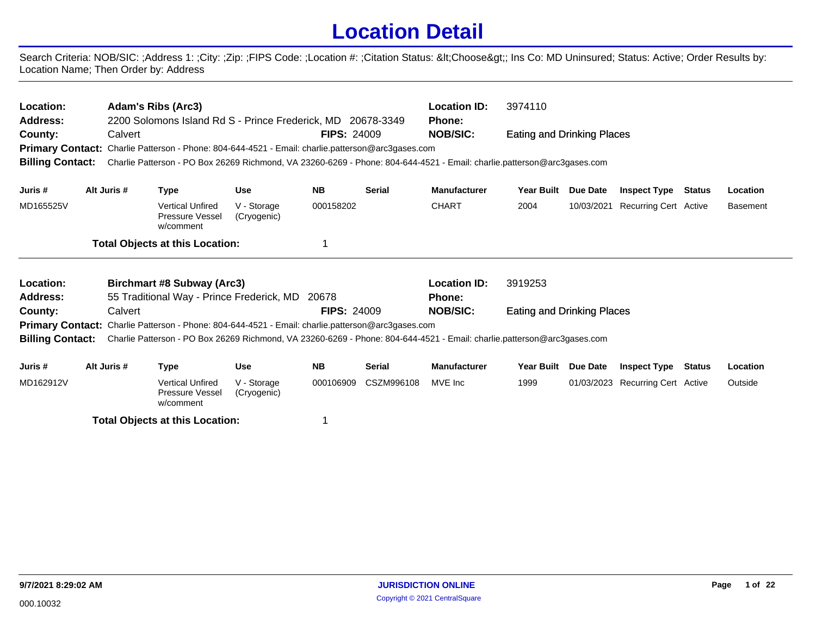## **Location Detail**

Search Criteria: NOB/SIC: ;Address 1: ;City: ;Zip: ;FIPS Code: ;Location #: ;Citation Status: <Choose&gt;; Ins Co: MD Uninsured; Status: Active; Order Results by: Location Name; Then Order by: Address

| Location:<br><b>Adam's Ribs (Arc3)</b><br>3974110<br><b>Location ID:</b><br><b>Address:</b><br>2200 Solomons Island Rd S - Prince Frederick, MD 20678-3349<br><b>Phone:</b><br>County:<br><b>FIPS: 24009</b><br><b>NOB/SIC:</b><br>Calvert<br>Eating and Drinking Places<br>Primary Contact: Charlie Patterson - Phone: 804-644-4521 - Email: charlie.patterson@arc3gases.com<br>Charlie Patterson - PO Box 26269 Richmond, VA 23260-6269 - Phone: 804-644-4521 - Email: charlie.patterson@arc3gases.com<br><b>Billing Contact:</b> |             |                                                                                                                         |                            |                    |               |                     |                            |            |                                  |        |                 |
|-------------------------------------------------------------------------------------------------------------------------------------------------------------------------------------------------------------------------------------------------------------------------------------------------------------------------------------------------------------------------------------------------------------------------------------------------------------------------------------------------------------------------------------|-------------|-------------------------------------------------------------------------------------------------------------------------|----------------------------|--------------------|---------------|---------------------|----------------------------|------------|----------------------------------|--------|-----------------|
|                                                                                                                                                                                                                                                                                                                                                                                                                                                                                                                                     |             |                                                                                                                         |                            |                    |               |                     |                            |            |                                  |        |                 |
| Juris #                                                                                                                                                                                                                                                                                                                                                                                                                                                                                                                             | Alt Juris # | <b>Type</b>                                                                                                             | <b>Use</b>                 | <b>NB</b>          | <b>Serial</b> | <b>Manufacturer</b> | <b>Year Built</b>          | Due Date   | <b>Inspect Type</b>              | Status | Location        |
| MD165525V                                                                                                                                                                                                                                                                                                                                                                                                                                                                                                                           |             | <b>Vertical Unfired</b><br><b>Pressure Vessel</b><br>w/comment                                                          | V - Storage<br>(Cryogenic) | 000158202          |               | <b>CHART</b>        | 2004                       | 10/03/2021 | <b>Recurring Cert Active</b>     |        | <b>Basement</b> |
|                                                                                                                                                                                                                                                                                                                                                                                                                                                                                                                                     |             | <b>Total Objects at this Location:</b>                                                                                  |                            |                    |               |                     |                            |            |                                  |        |                 |
| Location:                                                                                                                                                                                                                                                                                                                                                                                                                                                                                                                           |             | Birchmart #8 Subway (Arc3)                                                                                              |                            |                    |               | <b>Location ID:</b> | 3919253                    |            |                                  |        |                 |
| <b>Address:</b>                                                                                                                                                                                                                                                                                                                                                                                                                                                                                                                     |             | 55 Traditional Way - Prince Frederick, MD                                                                               |                            | 20678              |               | <b>Phone:</b>       |                            |            |                                  |        |                 |
| County:                                                                                                                                                                                                                                                                                                                                                                                                                                                                                                                             | Calvert     |                                                                                                                         |                            | <b>FIPS: 24009</b> |               | <b>NOB/SIC:</b>     | Eating and Drinking Places |            |                                  |        |                 |
|                                                                                                                                                                                                                                                                                                                                                                                                                                                                                                                                     |             | <b>Primary Contact:</b> Charlie Patterson - Phone: 804-644-4521 - Email: charlie.patterson@arc3gases.com                |                            |                    |               |                     |                            |            |                                  |        |                 |
| <b>Billing Contact:</b>                                                                                                                                                                                                                                                                                                                                                                                                                                                                                                             |             | Charlie Patterson - PO Box 26269 Richmond, VA 23260-6269 - Phone: 804-644-4521 - Email: charlie.patterson@arc3gases.com |                            |                    |               |                     |                            |            |                                  |        |                 |
| Juris #                                                                                                                                                                                                                                                                                                                                                                                                                                                                                                                             | Alt Juris # | <b>Type</b>                                                                                                             | <b>Use</b>                 | <b>NB</b>          | <b>Serial</b> | <b>Manufacturer</b> | <b>Year Built</b>          | Due Date   | <b>Inspect Type</b>              | Status | Location        |
| MD162912V                                                                                                                                                                                                                                                                                                                                                                                                                                                                                                                           |             | <b>Vertical Unfired</b><br>Pressure Vessel                                                                              | V - Storage<br>(Cryogenic) | 000106909          | CSZM996108    | MVE Inc             | 1999                       |            | 01/03/2023 Recurring Cert Active |        | Outside         |

**Total Objects at this Location:** 1

(Cryogenic)

w/comment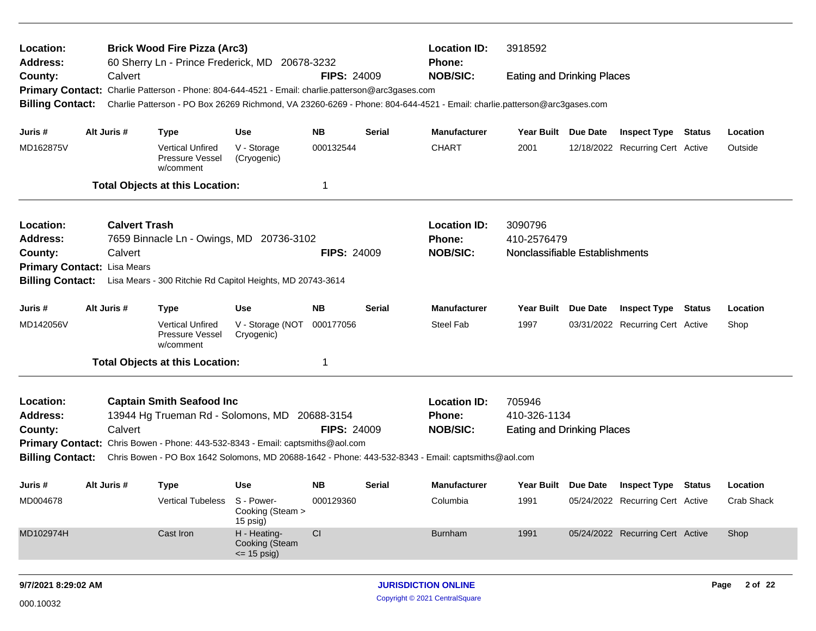| Location:<br>Address:       |                      | <b>Brick Wood Fire Pizza (Arc3)</b><br>60 Sherry Ln - Prince Frederick, MD 20678-3232             |                                                  |                    |        | <b>Location ID:</b><br><b>Phone:</b>                                                                                    | 3918592                           |                 |                                  |            |
|-----------------------------|----------------------|---------------------------------------------------------------------------------------------------|--------------------------------------------------|--------------------|--------|-------------------------------------------------------------------------------------------------------------------------|-----------------------------------|-----------------|----------------------------------|------------|
| County:                     | Calvert              |                                                                                                   |                                                  | <b>FIPS: 24009</b> |        | <b>NOB/SIC:</b>                                                                                                         | <b>Eating and Drinking Places</b> |                 |                                  |            |
|                             |                      | Primary Contact: Charlie Patterson - Phone: 804-644-4521 - Email: charlie.patterson@arc3gases.com |                                                  |                    |        |                                                                                                                         |                                   |                 |                                  |            |
| <b>Billing Contact:</b>     |                      |                                                                                                   |                                                  |                    |        | Charlie Patterson - PO Box 26269 Richmond, VA 23260-6269 - Phone: 804-644-4521 - Email: charlie.patterson@arc3gases.com |                                   |                 |                                  |            |
| Juris #                     | Alt Juris #          | Type                                                                                              | <b>Use</b>                                       | <b>NB</b>          | Serial | <b>Manufacturer</b>                                                                                                     | Year Built Due Date               |                 | <b>Inspect Type Status</b>       | Location   |
| MD162875V                   |                      | <b>Vertical Unfired</b><br>Pressure Vessel<br>w/comment                                           | V - Storage<br>(Cryogenic)                       | 000132544          |        | <b>CHART</b>                                                                                                            | 2001                              |                 | 12/18/2022 Recurring Cert Active | Outside    |
|                             |                      | <b>Total Objects at this Location:</b>                                                            |                                                  | 1                  |        |                                                                                                                         |                                   |                 |                                  |            |
| Location:                   | <b>Calvert Trash</b> |                                                                                                   |                                                  |                    |        | <b>Location ID:</b>                                                                                                     | 3090796                           |                 |                                  |            |
| Address:                    |                      | 7659 Binnacle Ln - Owings, MD 20736-3102                                                          |                                                  |                    |        | Phone:                                                                                                                  | 410-2576479                       |                 |                                  |            |
| County:                     | Calvert              |                                                                                                   |                                                  | <b>FIPS: 24009</b> |        | <b>NOB/SIC:</b>                                                                                                         | Nonclassifiable Establishments    |                 |                                  |            |
| Primary Contact: Lisa Mears |                      |                                                                                                   |                                                  |                    |        |                                                                                                                         |                                   |                 |                                  |            |
| <b>Billing Contact:</b>     |                      | Lisa Mears - 300 Ritchie Rd Capitol Heights, MD 20743-3614                                        |                                                  |                    |        |                                                                                                                         |                                   |                 |                                  |            |
| Juris #                     | Alt Juris #          | <b>Type</b>                                                                                       | <b>Use</b>                                       | <b>NB</b>          | Serial | <b>Manufacturer</b>                                                                                                     | Year Built                        | <b>Due Date</b> | <b>Inspect Type Status</b>       | Location   |
| MD142056V                   |                      | <b>Vertical Unfired</b><br>Pressure Vessel<br>w/comment                                           | V - Storage (NOT<br>Cryogenic)                   | 000177056          |        | Steel Fab                                                                                                               | 1997                              |                 | 03/31/2022 Recurring Cert Active | Shop       |
|                             |                      | <b>Total Objects at this Location:</b>                                                            |                                                  | 1                  |        |                                                                                                                         |                                   |                 |                                  |            |
| Location:                   |                      | <b>Captain Smith Seafood Inc</b>                                                                  |                                                  |                    |        | <b>Location ID:</b>                                                                                                     | 705946                            |                 |                                  |            |
| <b>Address:</b>             |                      | 13944 Hg Trueman Rd - Solomons, MD 20688-3154                                                     |                                                  |                    |        | Phone:                                                                                                                  | 410-326-1134                      |                 |                                  |            |
| County:                     | Calvert              |                                                                                                   |                                                  | <b>FIPS: 24009</b> |        | <b>NOB/SIC:</b>                                                                                                         | <b>Eating and Drinking Places</b> |                 |                                  |            |
|                             |                      | Primary Contact: Chris Bowen - Phone: 443-532-8343 - Email: captsmiths@aol.com                    |                                                  |                    |        |                                                                                                                         |                                   |                 |                                  |            |
| <b>Billing Contact:</b>     |                      |                                                                                                   |                                                  |                    |        | Chris Bowen - PO Box 1642 Solomons, MD 20688-1642 - Phone: 443-532-8343 - Email: captsmiths@aol.com                     |                                   |                 |                                  |            |
| Juris #                     | Alt Juris #          | <b>Type</b>                                                                                       | <b>Use</b>                                       | <b>NB</b>          | Serial | <b>Manufacturer</b>                                                                                                     | Year Built Due Date               |                 | <b>Inspect Type Status</b>       | Location   |
| MD004678                    |                      | Vertical Tubeless S - Power-                                                                      | Cooking (Steam ><br>15 psig)                     | 000129360          |        | Columbia                                                                                                                | 1991                              |                 | 05/24/2022 Recurring Cert Active | Crab Shack |
| MD102974H                   |                      | Cast Iron                                                                                         | H - Heating-<br>Cooking (Steam<br>$\le$ 15 psig) | CI                 |        | <b>Burnham</b>                                                                                                          | 1991                              |                 | 05/24/2022 Recurring Cert Active | Shop       |
|                             |                      |                                                                                                   |                                                  |                    |        |                                                                                                                         |                                   |                 |                                  |            |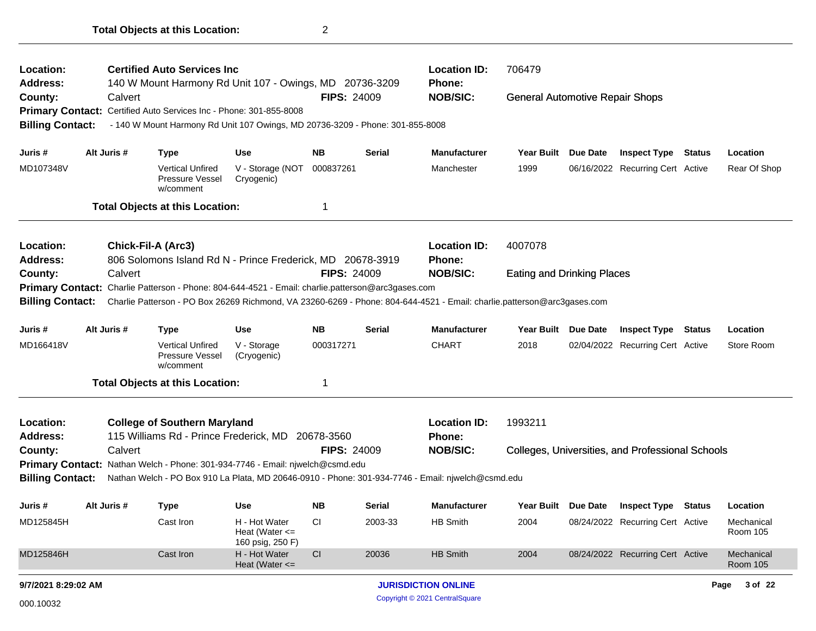| Location:<br>Address:   |             | <b>Certified Auto Services Inc.</b>                                                                                     |                                                         |                    |               | <b>Location ID:</b><br><b>Phone:</b> | 706479                                 |                 |                                                  |               |                               |
|-------------------------|-------------|-------------------------------------------------------------------------------------------------------------------------|---------------------------------------------------------|--------------------|---------------|--------------------------------------|----------------------------------------|-----------------|--------------------------------------------------|---------------|-------------------------------|
| County:                 | Calvert     | 140 W Mount Harmony Rd Unit 107 - Owings, MD 20736-3209                                                                 |                                                         | <b>FIPS: 24009</b> |               | <b>NOB/SIC:</b>                      | <b>General Automotive Repair Shops</b> |                 |                                                  |               |                               |
|                         |             | Primary Contact: Certified Auto Services Inc - Phone: 301-855-8008                                                      |                                                         |                    |               |                                      |                                        |                 |                                                  |               |                               |
| <b>Billing Contact:</b> |             | - 140 W Mount Harmony Rd Unit 107 Owings, MD 20736-3209 - Phone: 301-855-8008                                           |                                                         |                    |               |                                      |                                        |                 |                                                  |               |                               |
| Juris #                 | Alt Juris # | <b>Type</b>                                                                                                             | <b>Use</b>                                              | NΒ                 | <b>Serial</b> | <b>Manufacturer</b>                  | <b>Year Built</b>                      | Due Date        | <b>Inspect Type</b>                              | <b>Status</b> | Location                      |
| MD107348V               |             | <b>Vertical Unfired</b><br>Pressure Vessel<br>w/comment                                                                 | V - Storage (NOT<br>Cryogenic)                          | 000837261          |               | Manchester                           | 1999                                   |                 | 06/16/2022 Recurring Cert Active                 |               | Rear Of Shop                  |
|                         |             | <b>Total Objects at this Location:</b>                                                                                  |                                                         | 1                  |               |                                      |                                        |                 |                                                  |               |                               |
| Location:               |             | <b>Chick-Fil-A (Arc3)</b>                                                                                               |                                                         |                    |               | <b>Location ID:</b>                  | 4007078                                |                 |                                                  |               |                               |
| <b>Address:</b>         |             | 806 Solomons Island Rd N - Prince Frederick, MD 20678-3919                                                              |                                                         |                    |               | Phone:                               |                                        |                 |                                                  |               |                               |
| County:                 | Calvert     |                                                                                                                         |                                                         | <b>FIPS: 24009</b> |               | <b>NOB/SIC:</b>                      | <b>Eating and Drinking Places</b>      |                 |                                                  |               |                               |
|                         |             | Primary Contact: Charlie Patterson - Phone: 804-644-4521 - Email: charlie.patterson@arc3gases.com                       |                                                         |                    |               |                                      |                                        |                 |                                                  |               |                               |
| <b>Billing Contact:</b> |             | Charlie Patterson - PO Box 26269 Richmond, VA 23260-6269 - Phone: 804-644-4521 - Email: charlie.patterson@arc3gases.com |                                                         |                    |               |                                      |                                        |                 |                                                  |               |                               |
| Juris #                 | Alt Juris # | <b>Type</b>                                                                                                             | <b>Use</b>                                              | <b>NB</b>          | <b>Serial</b> | <b>Manufacturer</b>                  | <b>Year Built</b>                      | <b>Due Date</b> | <b>Inspect Type</b>                              | <b>Status</b> | Location                      |
| MD166418V               |             | <b>Vertical Unfired</b><br>Pressure Vessel<br>w/comment                                                                 | V - Storage<br>(Cryogenic)                              | 000317271          |               | <b>CHART</b>                         | 2018                                   |                 | 02/04/2022 Recurring Cert Active                 |               | Store Room                    |
|                         |             | <b>Total Objects at this Location:</b>                                                                                  |                                                         | 1                  |               |                                      |                                        |                 |                                                  |               |                               |
| Location:               |             | <b>College of Southern Maryland</b>                                                                                     |                                                         |                    |               | <b>Location ID:</b>                  | 1993211                                |                 |                                                  |               |                               |
| Address:                |             | 115 Williams Rd - Prince Frederick, MD 20678-3560                                                                       |                                                         |                    |               | <b>Phone:</b>                        |                                        |                 |                                                  |               |                               |
| County:                 | Calvert     |                                                                                                                         |                                                         | <b>FIPS: 24009</b> |               | <b>NOB/SIC:</b>                      |                                        |                 | Colleges, Universities, and Professional Schools |               |                               |
|                         |             | Primary Contact: Nathan Welch - Phone: 301-934-7746 - Email: njwelch@csmd.edu                                           |                                                         |                    |               |                                      |                                        |                 |                                                  |               |                               |
| <b>Billing Contact:</b> |             | Nathan Welch - PO Box 910 La Plata, MD 20646-0910 - Phone: 301-934-7746 - Email: njwelch@csmd.edu                       |                                                         |                    |               |                                      |                                        |                 |                                                  |               |                               |
| Juris #                 | Alt Juris # | <b>Type</b>                                                                                                             | <b>Use</b>                                              | NB                 | Serial        | <b>Manufacturer</b>                  | <b>Year Built</b>                      | Due Date        | <b>Inspect Type Status</b>                       |               | Location                      |
| MD125845H               |             | Cast Iron                                                                                                               | H - Hot Water<br>Heat (Water $\leq$<br>160 psig, 250 F) | CI                 | 2003-33       | HB Smith                             | 2004                                   |                 | 08/24/2022 Recurring Cert Active                 |               | Mechanical<br><b>Room 105</b> |
| MD125846H               |             | Cast Iron                                                                                                               | H - Hot Water<br>Heat (Water $\leq$                     | CI                 | 20036         | HB Smith                             | 2004                                   |                 | 08/24/2022 Recurring Cert Active                 |               | Mechanical<br><b>Room 105</b> |
| 9/7/2021 8:29:02 AM     |             |                                                                                                                         |                                                         |                    |               | <b>JURISDICTION ONLINE</b>           |                                        |                 |                                                  |               | Page 3 of 22                  |
| 000.10032               |             |                                                                                                                         |                                                         |                    |               | Copyright © 2021 CentralSquare       |                                        |                 |                                                  |               |                               |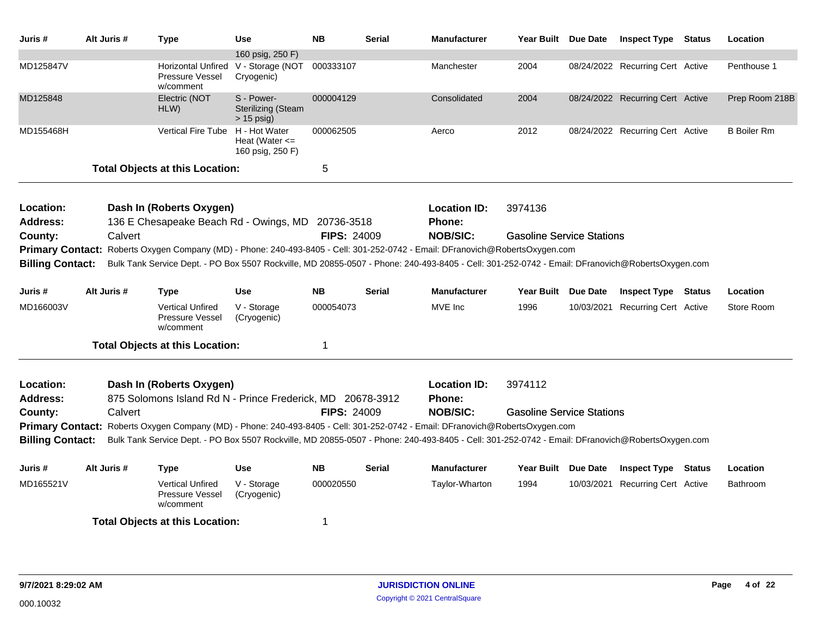| Juris #                 | Alt Juris # | Type                                                                                                                                            | <b>Use</b>                                              | <b>NB</b>          | Serial        | <b>Manufacturer</b> | Year Built Due Date              |                 | <b>Inspect Type Status</b>       | Location           |
|-------------------------|-------------|-------------------------------------------------------------------------------------------------------------------------------------------------|---------------------------------------------------------|--------------------|---------------|---------------------|----------------------------------|-----------------|----------------------------------|--------------------|
|                         |             |                                                                                                                                                 | 160 psig, 250 F)                                        |                    |               |                     |                                  |                 |                                  |                    |
| MD125847V               |             | Horizontal Unfired<br>Pressure Vessel<br>w/comment                                                                                              | V - Storage (NOT 000333107<br>Cryogenic)                |                    |               | Manchester          | 2004                             |                 | 08/24/2022 Recurring Cert Active | Penthouse 1        |
| MD125848                |             | Electric (NOT<br>HLW)                                                                                                                           | S - Power-<br><b>Sterilizing (Steam</b><br>$> 15$ psig) | 000004129          |               | Consolidated        | 2004                             |                 | 08/24/2022 Recurring Cert Active | Prep Room 218B     |
| MD155468H               |             | Vertical Fire Tube H - Hot Water                                                                                                                | Heat (Water $\leq$<br>160 psig, 250 F)                  | 000062505          |               | Aerco               | 2012                             |                 | 08/24/2022 Recurring Cert Active | <b>B</b> Boiler Rm |
|                         |             | <b>Total Objects at this Location:</b>                                                                                                          |                                                         | 5                  |               |                     |                                  |                 |                                  |                    |
| Location:               |             | Dash In (Roberts Oxygen)                                                                                                                        |                                                         |                    |               | <b>Location ID:</b> | 3974136                          |                 |                                  |                    |
| <b>Address:</b>         |             | 136 E Chesapeake Beach Rd - Owings, MD 20736-3518                                                                                               |                                                         |                    |               | Phone:              |                                  |                 |                                  |                    |
| County:                 | Calvert     |                                                                                                                                                 |                                                         | <b>FIPS: 24009</b> |               | <b>NOB/SIC:</b>     | <b>Gasoline Service Stations</b> |                 |                                  |                    |
| <b>Primary Contact:</b> |             | Roberts Oxygen Company (MD) - Phone: 240-493-8405 - Cell: 301-252-0742 - Email: DFranovich@RobertsOxygen.com                                    |                                                         |                    |               |                     |                                  |                 |                                  |                    |
| <b>Billing Contact:</b> |             | Bulk Tank Service Dept. - PO Box 5507 Rockville, MD 20855-0507 - Phone: 240-493-8405 - Cell: 301-252-0742 - Email: DFranovich@RobertsOxygen.com |                                                         |                    |               |                     |                                  |                 |                                  |                    |
| Juris#                  | Alt Juris # | Type                                                                                                                                            | <b>Use</b>                                              | <b>NB</b>          | Serial        | <b>Manufacturer</b> | Year Built                       | <b>Due Date</b> | <b>Inspect Type Status</b>       | Location           |
| MD166003V               |             | <b>Vertical Unfired</b><br>Pressure Vessel<br>w/comment                                                                                         | V - Storage<br>(Cryogenic)                              | 000054073          |               | MVE Inc             | 1996                             |                 | 10/03/2021 Recurring Cert Active | Store Room         |
|                         |             | <b>Total Objects at this Location:</b>                                                                                                          |                                                         | $\mathbf{1}$       |               |                     |                                  |                 |                                  |                    |
| Location:               |             | Dash In (Roberts Oxygen)                                                                                                                        |                                                         |                    |               | <b>Location ID:</b> | 3974112                          |                 |                                  |                    |
| <b>Address:</b>         |             | 875 Solomons Island Rd N - Prince Frederick, MD 20678-3912                                                                                      |                                                         |                    |               | <b>Phone:</b>       |                                  |                 |                                  |                    |
| County:                 | Calvert     |                                                                                                                                                 |                                                         | <b>FIPS: 24009</b> |               | <b>NOB/SIC:</b>     | <b>Gasoline Service Stations</b> |                 |                                  |                    |
|                         |             | Primary Contact: Roberts Oxygen Company (MD) - Phone: 240-493-8405 - Cell: 301-252-0742 - Email: DFranovich@RobertsOxygen.com                   |                                                         |                    |               |                     |                                  |                 |                                  |                    |
| <b>Billing Contact:</b> |             | Bulk Tank Service Dept. - PO Box 5507 Rockville, MD 20855-0507 - Phone: 240-493-8405 - Cell: 301-252-0742 - Email: DFranovich@RobertsOxygen.com |                                                         |                    |               |                     |                                  |                 |                                  |                    |
| Juris #                 | Alt Juris # | Type                                                                                                                                            | <b>Use</b>                                              | <b>NB</b>          | <b>Serial</b> | <b>Manufacturer</b> | Year Built Due Date              |                 | <b>Inspect Type Status</b>       | Location           |
| MD165521V               |             | <b>Vertical Unfired</b><br>Pressure Vessel<br>w/comment                                                                                         | V - Storage<br>(Cryogenic)                              | 000020550          |               | Taylor-Wharton      | 1994                             |                 | 10/03/2021 Recurring Cert Active | Bathroom           |
|                         |             | <b>Total Objects at this Location:</b>                                                                                                          |                                                         | 1                  |               |                     |                                  |                 |                                  |                    |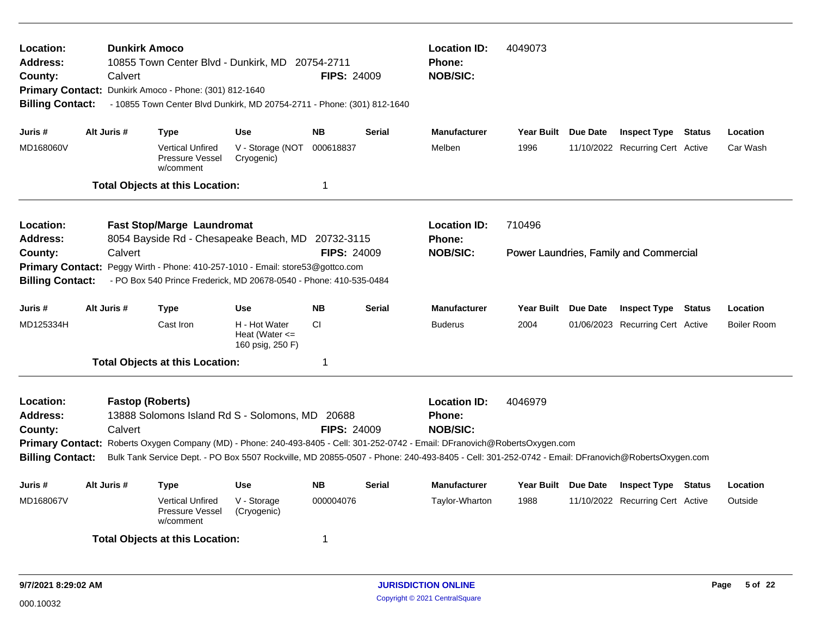| Location:<br><b>Address:</b><br>County:<br><b>Billing Contact:</b> | Calvert     | <b>Dunkirk Amoco</b><br>10855 Town Center Blvd - Dunkirk, MD 20754-2711<br>Primary Contact: Dunkirk Amoco - Phone: (301) 812-1640<br>- 10855 Town Center Blvd Dunkirk, MD 20754-2711 - Phone: (301) 812-1640                                                                     |                                                         | <b>FIPS: 24009</b>      | <b>Location ID:</b><br><b>Phone:</b><br><b>NOB/SIC:</b> | 4049073                                                 |                     |                                        |        |                    |
|--------------------------------------------------------------------|-------------|----------------------------------------------------------------------------------------------------------------------------------------------------------------------------------------------------------------------------------------------------------------------------------|---------------------------------------------------------|-------------------------|---------------------------------------------------------|---------------------------------------------------------|---------------------|----------------------------------------|--------|--------------------|
| Juris #                                                            | Alt Juris # | <b>Type</b>                                                                                                                                                                                                                                                                      | <b>Use</b>                                              | <b>NB</b>               | <b>Serial</b>                                           | <b>Manufacturer</b>                                     | Year Built Due Date | <b>Inspect Type Status</b>             |        | Location           |
| MD168060V                                                          |             | <b>Vertical Unfired</b><br>Pressure Vessel<br>w/comment                                                                                                                                                                                                                          | V - Storage (NOT<br>Cryogenic)                          | 000618837               |                                                         | Melben                                                  | 1996                | 11/10/2022 Recurring Cert Active       |        | Car Wash           |
|                                                                    |             | <b>Total Objects at this Location:</b>                                                                                                                                                                                                                                           |                                                         | $\overline{\mathbf{1}}$ |                                                         |                                                         |                     |                                        |        |                    |
| Location:<br><b>Address:</b>                                       |             | <b>Fast Stop/Marge Laundromat</b><br>8054 Bayside Rd - Chesapeake Beach, MD 20732-3115                                                                                                                                                                                           |                                                         |                         |                                                         | <b>Location ID:</b><br><b>Phone:</b>                    | 710496              |                                        |        |                    |
| County:                                                            | Calvert     |                                                                                                                                                                                                                                                                                  |                                                         | <b>FIPS: 24009</b>      |                                                         | <b>NOB/SIC:</b>                                         |                     | Power Laundries, Family and Commercial |        |                    |
| <b>Billing Contact:</b>                                            |             | Primary Contact: Peggy Wirth - Phone: 410-257-1010 - Email: store53@gottco.com<br>- PO Box 540 Prince Frederick, MD 20678-0540 - Phone: 410-535-0484                                                                                                                             |                                                         |                         |                                                         |                                                         |                     |                                        |        |                    |
| Juris #                                                            | Alt Juris # | Type                                                                                                                                                                                                                                                                             | <b>Use</b>                                              | <b>NB</b>               | <b>Serial</b>                                           | <b>Manufacturer</b>                                     | Year Built Due Date | Inspect Type                           | Status | Location           |
| MD125334H                                                          |             | Cast Iron                                                                                                                                                                                                                                                                        | H - Hot Water<br>Heat (Water $\leq$<br>160 psig, 250 F) | <b>CI</b>               |                                                         | <b>Buderus</b>                                          | 2004                | 01/06/2023 Recurring Cert Active       |        | <b>Boiler Room</b> |
|                                                                    |             | <b>Total Objects at this Location:</b>                                                                                                                                                                                                                                           |                                                         | -1                      |                                                         |                                                         |                     |                                        |        |                    |
| Location:<br><b>Address:</b><br>County:                            | Calvert     | <b>Fastop (Roberts)</b><br>13888 Solomons Island Rd S - Solomons, MD 20688                                                                                                                                                                                                       |                                                         | <b>FIPS: 24009</b>      |                                                         | <b>Location ID:</b><br><b>Phone:</b><br><b>NOB/SIC:</b> | 4046979             |                                        |        |                    |
| <b>Billing Contact:</b>                                            |             | Primary Contact: Roberts Oxygen Company (MD) - Phone: 240-493-8405 - Cell: 301-252-0742 - Email: DFranovich@RobertsOxygen.com<br>Bulk Tank Service Dept. - PO Box 5507 Rockville, MD 20855-0507 - Phone: 240-493-8405 - Cell: 301-252-0742 - Email: DFranovich@RobertsOxygen.com |                                                         |                         |                                                         |                                                         |                     |                                        |        |                    |
| Juris #                                                            | Alt Juris # | <b>Type</b>                                                                                                                                                                                                                                                                      | <b>Use</b>                                              | <b>NB</b>               | <b>Serial</b>                                           | <b>Manufacturer</b>                                     | Year Built Due Date | <b>Inspect Type Status</b>             |        | Location           |
| MD168067V                                                          |             | <b>Vertical Unfired</b><br>Pressure Vessel<br>w/comment                                                                                                                                                                                                                          | V - Storage<br>(Cryogenic)                              | 000004076               |                                                         | Taylor-Wharton                                          | 1988                | 11/10/2022 Recurring Cert Active       |        | Outside            |
|                                                                    |             | <b>Total Objects at this Location:</b>                                                                                                                                                                                                                                           |                                                         | -1                      |                                                         |                                                         |                     |                                        |        |                    |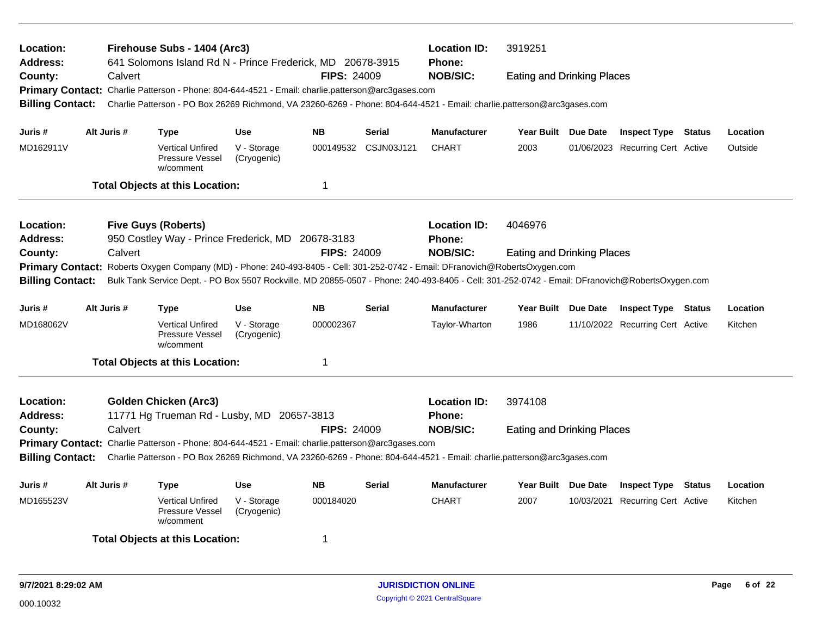| Location:<br><b>Address:</b>                                                                                                                       | Firehouse Subs - 1404 (Arc3)<br><b>Location ID:</b><br>3919251<br>641 Solomons Island Rd N - Prince Frederick, MD 20678-3915<br><b>Phone:</b> |             |                                                                                                   |                            |                    |                      |                                                                                                                                                 |                                   |  |                                  |        |          |
|----------------------------------------------------------------------------------------------------------------------------------------------------|-----------------------------------------------------------------------------------------------------------------------------------------------|-------------|---------------------------------------------------------------------------------------------------|----------------------------|--------------------|----------------------|-------------------------------------------------------------------------------------------------------------------------------------------------|-----------------------------------|--|----------------------------------|--------|----------|
| County:                                                                                                                                            |                                                                                                                                               | Calvert     |                                                                                                   |                            | <b>FIPS: 24009</b> |                      | <b>NOB/SIC:</b>                                                                                                                                 | <b>Eating and Drinking Places</b> |  |                                  |        |          |
| <b>Primary Contact:</b>                                                                                                                            |                                                                                                                                               |             | Charlie Patterson - Phone: 804-644-4521 - Email: charlie.patterson@arc3gases.com                  |                            |                    |                      |                                                                                                                                                 |                                   |  |                                  |        |          |
| <b>Billing Contact:</b>                                                                                                                            |                                                                                                                                               |             |                                                                                                   |                            |                    |                      | Charlie Patterson - PO Box 26269 Richmond, VA 23260-6269 - Phone: 804-644-4521 - Email: charlie.patterson@arc3gases.com                         |                                   |  |                                  |        |          |
|                                                                                                                                                    |                                                                                                                                               |             |                                                                                                   |                            |                    |                      |                                                                                                                                                 |                                   |  |                                  |        |          |
| Juris#                                                                                                                                             |                                                                                                                                               | Alt Juris # | Type                                                                                              | <b>Use</b>                 | <b>NB</b>          | <b>Serial</b>        | <b>Manufacturer</b>                                                                                                                             | Year Built Due Date               |  | <b>Inspect Type Status</b>       |        | Location |
| MD162911V                                                                                                                                          |                                                                                                                                               |             | <b>Vertical Unfired</b><br>Pressure Vessel<br>w/comment                                           | V - Storage<br>(Cryogenic) |                    | 000149532 CSJN03J121 | <b>CHART</b>                                                                                                                                    | 2003                              |  | 01/06/2023 Recurring Cert Active |        | Outside  |
|                                                                                                                                                    |                                                                                                                                               |             | <b>Total Objects at this Location:</b>                                                            |                            | $\mathbf 1$        |                      |                                                                                                                                                 |                                   |  |                                  |        |          |
| Location:                                                                                                                                          |                                                                                                                                               |             | <b>Five Guys (Roberts)</b>                                                                        |                            |                    |                      | <b>Location ID:</b>                                                                                                                             | 4046976                           |  |                                  |        |          |
| Address:                                                                                                                                           |                                                                                                                                               |             | 950 Costley Way - Prince Frederick, MD 20678-3183                                                 |                            |                    |                      | Phone:                                                                                                                                          |                                   |  |                                  |        |          |
| County:                                                                                                                                            |                                                                                                                                               | Calvert     |                                                                                                   |                            | <b>FIPS: 24009</b> |                      | <b>NOB/SIC:</b>                                                                                                                                 | <b>Eating and Drinking Places</b> |  |                                  |        |          |
| Roberts Oxygen Company (MD) - Phone: 240-493-8405 - Cell: 301-252-0742 - Email: DFranovich@RobertsOxygen.com<br><b>Primary Contact:</b>            |                                                                                                                                               |             |                                                                                                   |                            |                    |                      |                                                                                                                                                 |                                   |  |                                  |        |          |
| <b>Billing Contact:</b>                                                                                                                            |                                                                                                                                               |             |                                                                                                   |                            |                    |                      | Bulk Tank Service Dept. - PO Box 5507 Rockville, MD 20855-0507 - Phone: 240-493-8405 - Cell: 301-252-0742 - Email: DFranovich@RobertsOxygen.com |                                   |  |                                  |        |          |
| Juris #                                                                                                                                            |                                                                                                                                               | Alt Juris # | <b>Type</b>                                                                                       | <b>Use</b>                 | <b>NB</b>          | <b>Serial</b>        | <b>Manufacturer</b>                                                                                                                             | Year Built Due Date               |  | <b>Inspect Type Status</b>       |        | Location |
| MD168062V                                                                                                                                          |                                                                                                                                               |             | <b>Vertical Unfired</b><br>Pressure Vessel<br>w/comment                                           | V - Storage<br>(Cryogenic) | 000002367          |                      | Taylor-Wharton                                                                                                                                  | 1986                              |  | 11/10/2022 Recurring Cert Active |        | Kitchen  |
|                                                                                                                                                    |                                                                                                                                               |             | <b>Total Objects at this Location:</b>                                                            |                            | $\mathbf 1$        |                      |                                                                                                                                                 |                                   |  |                                  |        |          |
| Location:                                                                                                                                          |                                                                                                                                               |             | <b>Golden Chicken (Arc3)</b>                                                                      |                            |                    |                      | <b>Location ID:</b>                                                                                                                             | 3974108                           |  |                                  |        |          |
| Address:                                                                                                                                           |                                                                                                                                               |             | 11771 Hg Trueman Rd - Lusby, MD 20657-3813                                                        |                            |                    |                      | Phone:                                                                                                                                          |                                   |  |                                  |        |          |
| County:                                                                                                                                            |                                                                                                                                               | Calvert     |                                                                                                   |                            | <b>FIPS: 24009</b> |                      | <b>NOB/SIC:</b>                                                                                                                                 | <b>Eating and Drinking Places</b> |  |                                  |        |          |
|                                                                                                                                                    |                                                                                                                                               |             | Primary Contact: Charlie Patterson - Phone: 804-644-4521 - Email: charlie.patterson@arc3gases.com |                            |                    |                      |                                                                                                                                                 |                                   |  |                                  |        |          |
| <b>Billing Contact:</b><br>Charlie Patterson - PO Box 26269 Richmond, VA 23260-6269 - Phone: 804-644-4521 - Email: charlie.patterson@arc3gases.com |                                                                                                                                               |             |                                                                                                   |                            |                    |                      |                                                                                                                                                 |                                   |  |                                  |        |          |
| Juris #                                                                                                                                            |                                                                                                                                               | Alt Juris # | <b>Type</b>                                                                                       | <b>Use</b>                 | <b>NB</b>          | <b>Serial</b>        | <b>Manufacturer</b>                                                                                                                             | Year Built Due Date               |  | <b>Inspect Type</b>              | Status | Location |
| MD165523V                                                                                                                                          |                                                                                                                                               |             | <b>Vertical Unfired</b><br>Pressure Vessel<br>w/comment                                           | V - Storage<br>(Cryogenic) | 000184020          |                      | <b>CHART</b>                                                                                                                                    | 2007                              |  | 10/03/2021 Recurring Cert Active |        | Kitchen  |
|                                                                                                                                                    |                                                                                                                                               |             | <b>Total Objects at this Location:</b>                                                            |                            | -1                 |                      |                                                                                                                                                 |                                   |  |                                  |        |          |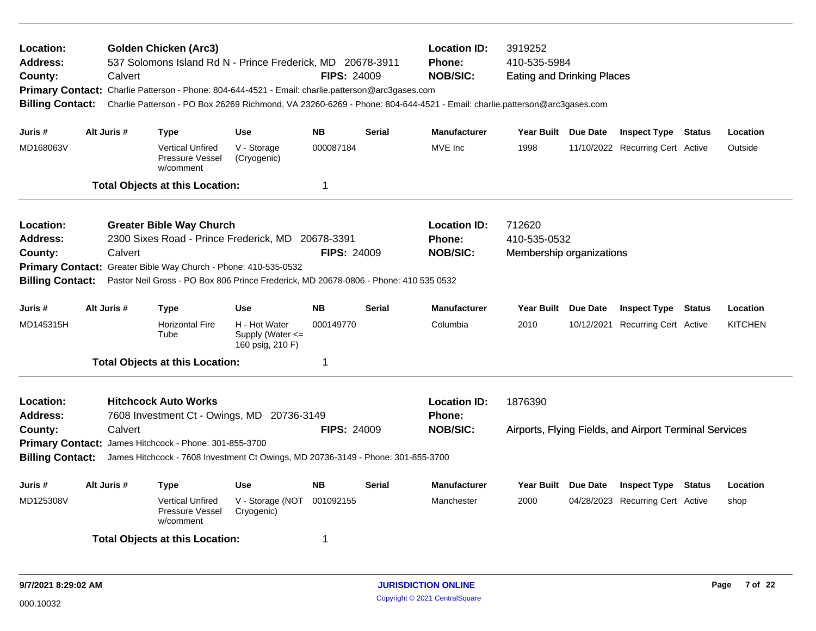| Location:<br>Address:<br>County:<br><b>Billing Contact:</b>                            | Calvert     | <b>Golden Chicken (Arc3)</b><br>537 Solomons Island Rd N - Prince Frederick, MD 20678-3911<br>Primary Contact: Charlie Patterson - Phone: 804-644-4521 - Email: charlie.patterson@arc3gases.com<br>Charlie Patterson - PO Box 26269 Richmond, VA 23260-6269 - Phone: 804-644-4521 - Email: charlie.patterson@arc3gases.com |                                                           | <b>FIPS: 24009</b> |               | <b>Location ID:</b><br><b>Phone:</b><br><b>NOB/SIC:</b> | 3919252<br>410-535-5984<br><b>Eating and Drinking Places</b> |            |                                                        |               |                |
|----------------------------------------------------------------------------------------|-------------|----------------------------------------------------------------------------------------------------------------------------------------------------------------------------------------------------------------------------------------------------------------------------------------------------------------------------|-----------------------------------------------------------|--------------------|---------------|---------------------------------------------------------|--------------------------------------------------------------|------------|--------------------------------------------------------|---------------|----------------|
| Juris #                                                                                | Alt Juris # | Type                                                                                                                                                                                                                                                                                                                       | <b>Use</b>                                                | <b>NB</b>          | <b>Serial</b> | <b>Manufacturer</b>                                     | Year Built Due Date                                          |            | <b>Inspect Type Status</b>                             |               | Location       |
| MD168063V                                                                              |             | <b>Vertical Unfired</b><br>Pressure Vessel<br>w/comment                                                                                                                                                                                                                                                                    | V - Storage<br>(Cryogenic)                                | 000087184          |               | MVE Inc                                                 | 1998                                                         |            | 11/10/2022 Recurring Cert Active                       |               | Outside        |
|                                                                                        |             | <b>Total Objects at this Location:</b>                                                                                                                                                                                                                                                                                     |                                                           | $\mathbf 1$        |               |                                                         |                                                              |            |                                                        |               |                |
| Location:<br>Address:<br>County:<br><b>Primary Contact:</b><br><b>Billing Contact:</b> | Calvert     | <b>Greater Bible Way Church</b><br>2300 Sixes Road - Prince Frederick, MD 20678-3391<br>Greater Bible Way Church - Phone: 410-535-0532<br>Pastor Neil Gross - PO Box 806 Prince Frederick, MD 20678-0806 - Phone: 410 535 0532                                                                                             |                                                           | <b>FIPS: 24009</b> |               | <b>Location ID:</b><br><b>Phone:</b><br><b>NOB/SIC:</b> | 712620<br>410-535-0532<br>Membership organizations           |            |                                                        |               |                |
| Juris #                                                                                | Alt Juris # | Type                                                                                                                                                                                                                                                                                                                       | <b>Use</b>                                                | <b>NB</b>          | <b>Serial</b> | <b>Manufacturer</b>                                     | Year Built Due Date                                          |            | <b>Inspect Type</b>                                    | Status        | Location       |
| MD145315H                                                                              |             | <b>Horizontal Fire</b><br>Tube                                                                                                                                                                                                                                                                                             | H - Hot Water<br>Supply (Water $\leq$<br>160 psig, 210 F) | 000149770          |               | Columbia                                                | 2010                                                         | 10/12/2021 | <b>Recurring Cert Active</b>                           |               | <b>KITCHEN</b> |
|                                                                                        |             | <b>Total Objects at this Location:</b>                                                                                                                                                                                                                                                                                     |                                                           | $\overline{1}$     |               |                                                         |                                                              |            |                                                        |               |                |
| Location:<br><b>Address:</b><br>County:<br><b>Billing Contact:</b>                     | Calvert     | <b>Hitchcock Auto Works</b><br>7608 Investment Ct - Owings, MD 20736-3149<br>Primary Contact: James Hitchcock - Phone: 301-855-3700<br>James Hitchcock - 7608 Investment Ct Owings, MD 20736-3149 - Phone: 301-855-3700                                                                                                    |                                                           | <b>FIPS: 24009</b> |               | <b>Location ID:</b><br>Phone:<br><b>NOB/SIC:</b>        | 1876390                                                      |            | Airports, Flying Fields, and Airport Terminal Services |               |                |
| Juris #                                                                                | Alt Juris # | Type                                                                                                                                                                                                                                                                                                                       | <b>Use</b>                                                | <b>NB</b>          | <b>Serial</b> | <b>Manufacturer</b>                                     | Year Built Due Date                                          |            | <b>Inspect Type</b>                                    | <b>Status</b> | Location       |
| MD125308V                                                                              |             | <b>Vertical Unfired</b><br>Pressure Vessel<br>w/comment                                                                                                                                                                                                                                                                    | V - Storage (NOT<br>Cryogenic)                            | 001092155          |               | Manchester                                              | 2000                                                         |            | 04/28/2023 Recurring Cert Active                       |               | shop           |
|                                                                                        |             | <b>Total Objects at this Location:</b>                                                                                                                                                                                                                                                                                     |                                                           | -1                 |               |                                                         |                                                              |            |                                                        |               |                |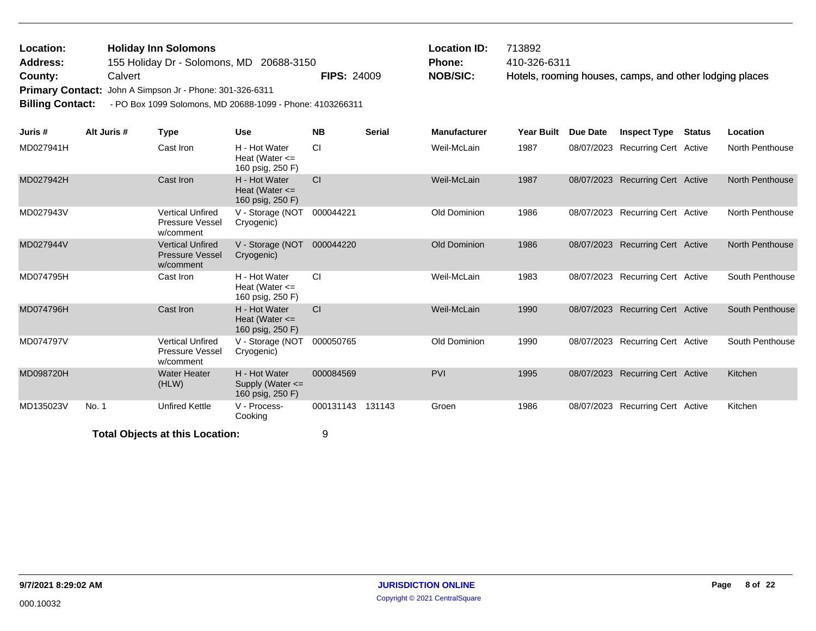| <b>Location:</b> | <b>Holiday Inn Solomons</b>                              |                    | $\mathsf{\mathsf{Location}}$ ID: | 713892                                                  |
|------------------|----------------------------------------------------------|--------------------|----------------------------------|---------------------------------------------------------|
| <b>Address:</b>  | 155 Holiday Dr - Solomons, MD 20688-3150                 |                    | Phone:                           | 410-326-6311                                            |
| County:          | Calvert                                                  | <b>FIPS: 24009</b> | <b>NOB/SIC:</b>                  | Hotels, rooming houses, camps, and other lodging places |
|                  | Primary Contact: John A Simpson Jr - Phone: 301-326-6311 |                    |                                  |                                                         |

**Billing Contact:** - PO Box 1099 Solomons, MD 20688-1099 - Phone: 4103266311

| Juris #   | Alt Juris # | <b>Type</b>                                                    | <b>Use</b>                                                | <b>NB</b> | <b>Serial</b> | <b>Manufacturer</b> | <b>Year Built</b> | <b>Due Date</b> | <b>Inspect Type</b>              | <b>Status</b> | Location               |
|-----------|-------------|----------------------------------------------------------------|-----------------------------------------------------------|-----------|---------------|---------------------|-------------------|-----------------|----------------------------------|---------------|------------------------|
| MD027941H |             | Cast Iron                                                      | H - Hot Water<br>Heat (Water $\leq$<br>160 psig, 250 F)   | CI        |               | Weil-McLain         | 1987              |                 | 08/07/2023 Recurring Cert Active |               | North Penthouse        |
| MD027942H |             | Cast Iron                                                      | H - Hot Water<br>Heat (Water $\leq$<br>160 psig, 250 F)   | <b>CI</b> |               | Weil-McLain         | 1987              |                 | 08/07/2023 Recurring Cert Active |               | <b>North Penthouse</b> |
| MD027943V |             | <b>Vertical Unfired</b><br><b>Pressure Vessel</b><br>w/comment | V - Storage (NOT<br>Cryogenic)                            | 000044221 |               | Old Dominion        | 1986              |                 | 08/07/2023 Recurring Cert Active |               | North Penthouse        |
| MD027944V |             | <b>Vertical Unfired</b><br><b>Pressure Vessel</b><br>w/comment | V - Storage (NOT<br>Cryogenic)                            | 000044220 |               | Old Dominion        | 1986              | 08/07/2023      | <b>Recurring Cert Active</b>     |               | <b>North Penthouse</b> |
| MD074795H |             | Cast Iron                                                      | H - Hot Water<br>Heat (Water $\leq$<br>160 psig, 250 F)   | <b>CI</b> |               | Weil-McLain         | 1983              |                 | 08/07/2023 Recurring Cert Active |               | South Penthouse        |
| MD074796H |             | Cast Iron                                                      | H - Hot Water<br>Heat (Water $\leq$<br>160 psig, 250 F)   | <b>CI</b> |               | Weil-McLain         | 1990              | 08/07/2023      | <b>Recurring Cert Active</b>     |               | South Penthouse        |
| MD074797V |             | <b>Vertical Unfired</b><br><b>Pressure Vessel</b><br>w/comment | V - Storage (NOT<br>Cryogenic)                            | 000050765 |               | Old Dominion        | 1990              |                 | 08/07/2023 Recurring Cert Active |               | South Penthouse        |
| MD098720H |             | <b>Water Heater</b><br>(HLW)                                   | H - Hot Water<br>Supply (Water $\leq$<br>160 psig, 250 F) | 000084569 |               | <b>PVI</b>          | 1995              | 08/07/2023      | <b>Recurring Cert Active</b>     |               | Kitchen                |
| MD135023V | No. 1       | <b>Unfired Kettle</b>                                          | V - Process-<br>Cooking                                   | 000131143 | 131143        | Groen               | 1986              |                 | 08/07/2023 Recurring Cert Active |               | Kitchen                |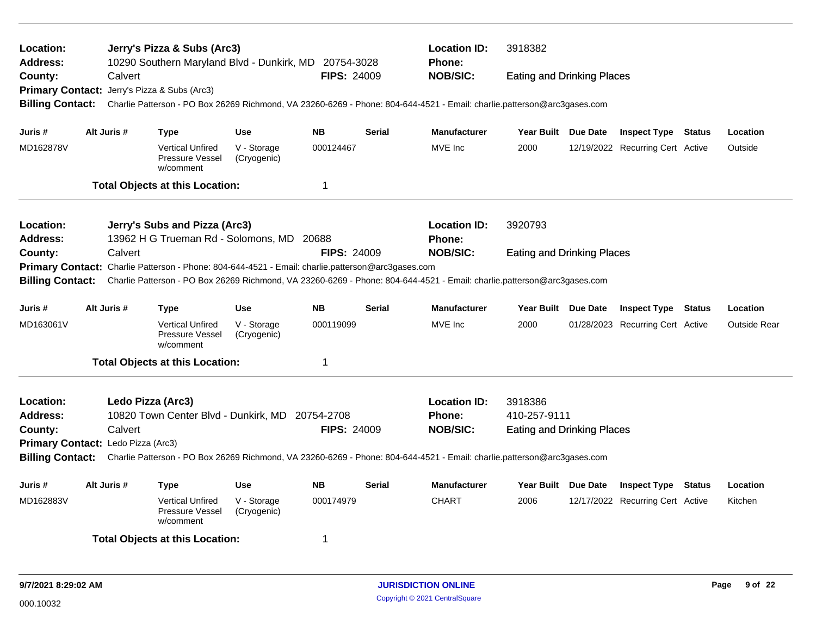| Location:<br><b>Address:</b> |                                    | Jerry's Pizza & Subs (Arc3)<br>10290 Southern Maryland Blvd - Dunkirk, MD 20754-3028              |                            |                    |               | <b>Location ID:</b><br><b>Phone:</b>                                                                                    | 3918382                           |                                                                                                                                                                                                                               |                                  |        |                     |  |  |  |
|------------------------------|------------------------------------|---------------------------------------------------------------------------------------------------|----------------------------|--------------------|---------------|-------------------------------------------------------------------------------------------------------------------------|-----------------------------------|-------------------------------------------------------------------------------------------------------------------------------------------------------------------------------------------------------------------------------|----------------------------------|--------|---------------------|--|--|--|
| County:                      | Calvert                            |                                                                                                   |                            | <b>FIPS: 24009</b> |               | <b>NOB/SIC:</b>                                                                                                         | <b>Eating and Drinking Places</b> |                                                                                                                                                                                                                               |                                  |        |                     |  |  |  |
|                              |                                    | Primary Contact: Jerry's Pizza & Subs (Arc3)                                                      |                            |                    |               |                                                                                                                         |                                   |                                                                                                                                                                                                                               |                                  |        |                     |  |  |  |
| <b>Billing Contact:</b>      |                                    |                                                                                                   |                            |                    |               | Charlie Patterson - PO Box 26269 Richmond, VA 23260-6269 - Phone: 804-644-4521 - Email: charlie.patterson@arc3gases.com |                                   |                                                                                                                                                                                                                               |                                  |        |                     |  |  |  |
| Juris #                      | Alt Juris #                        | <b>Type</b>                                                                                       | <b>Use</b>                 | <b>NB</b>          | <b>Serial</b> | <b>Manufacturer</b>                                                                                                     | Year Built Due Date               |                                                                                                                                                                                                                               | <b>Inspect Type Status</b>       |        | Location            |  |  |  |
| MD162878V                    |                                    | <b>Vertical Unfired</b>                                                                           | V - Storage                | 000124467          |               | MVE Inc                                                                                                                 | 2000                              |                                                                                                                                                                                                                               | 12/19/2022 Recurring Cert Active |        | Outside             |  |  |  |
|                              |                                    | <b>Pressure Vessel</b><br>w/comment                                                               | (Cryogenic)                |                    |               |                                                                                                                         |                                   |                                                                                                                                                                                                                               |                                  |        |                     |  |  |  |
|                              |                                    | <b>Total Objects at this Location:</b>                                                            |                            | $\mathbf 1$        |               |                                                                                                                         |                                   |                                                                                                                                                                                                                               |                                  |        |                     |  |  |  |
| Location:                    |                                    | Jerry's Subs and Pizza (Arc3)                                                                     |                            |                    |               | <b>Location ID:</b>                                                                                                     | 3920793                           |                                                                                                                                                                                                                               |                                  |        |                     |  |  |  |
| <b>Address:</b>              |                                    | 13962 H G Trueman Rd - Solomons, MD 20688                                                         |                            |                    |               | <b>Phone:</b>                                                                                                           |                                   |                                                                                                                                                                                                                               |                                  |        |                     |  |  |  |
| County:                      | Calvert                            |                                                                                                   |                            | <b>FIPS: 24009</b> |               | <b>NOB/SIC:</b>                                                                                                         |                                   | <b>Eating and Drinking Places</b><br>Charlie Patterson - PO Box 26269 Richmond, VA 23260-6269 - Phone: 804-644-4521 - Email: charlie.patterson@arc3gases.com<br>Year Built Due Date<br><b>Inspect Type Status</b><br>Location |                                  |        |                     |  |  |  |
|                              |                                    | Primary Contact: Charlie Patterson - Phone: 804-644-4521 - Email: charlie.patterson@arc3gases.com |                            |                    |               |                                                                                                                         |                                   |                                                                                                                                                                                                                               |                                  |        |                     |  |  |  |
| <b>Billing Contact:</b>      |                                    |                                                                                                   |                            |                    |               |                                                                                                                         |                                   |                                                                                                                                                                                                                               |                                  |        |                     |  |  |  |
| Juris #                      | Alt Juris #                        | <b>Type</b>                                                                                       | Use                        | <b>NB</b>          | <b>Serial</b> | <b>Manufacturer</b>                                                                                                     |                                   |                                                                                                                                                                                                                               |                                  |        |                     |  |  |  |
| MD163061V                    |                                    | <b>Vertical Unfired</b><br>Pressure Vessel<br>w/comment                                           | V - Storage<br>(Cryogenic) | 000119099          |               | MVE Inc                                                                                                                 | 2000                              |                                                                                                                                                                                                                               | 01/28/2023 Recurring Cert Active |        | <b>Outside Rear</b> |  |  |  |
|                              |                                    | <b>Total Objects at this Location:</b>                                                            |                            | $\mathbf 1$        |               |                                                                                                                         |                                   |                                                                                                                                                                                                                               |                                  |        |                     |  |  |  |
| <b>Location:</b>             |                                    | Ledo Pizza (Arc3)                                                                                 |                            |                    |               | <b>Location ID:</b>                                                                                                     | 3918386                           |                                                                                                                                                                                                                               |                                  |        |                     |  |  |  |
| <b>Address:</b>              |                                    | 10820 Town Center Blvd - Dunkirk, MD                                                              |                            | 20754-2708         |               | <b>Phone:</b>                                                                                                           | 410-257-9111                      |                                                                                                                                                                                                                               |                                  |        |                     |  |  |  |
| County:                      | Calvert                            |                                                                                                   |                            | <b>FIPS: 24009</b> |               | <b>NOB/SIC:</b>                                                                                                         | <b>Eating and Drinking Places</b> |                                                                                                                                                                                                                               |                                  |        |                     |  |  |  |
|                              | Primary Contact: Ledo Pizza (Arc3) |                                                                                                   |                            |                    |               |                                                                                                                         |                                   |                                                                                                                                                                                                                               |                                  |        |                     |  |  |  |
| <b>Billing Contact:</b>      |                                    |                                                                                                   |                            |                    |               | Charlie Patterson - PO Box 26269 Richmond, VA 23260-6269 - Phone: 804-644-4521 - Email: charlie.patterson@arc3gases.com |                                   |                                                                                                                                                                                                                               |                                  |        |                     |  |  |  |
| Juris #                      | Alt Juris #                        | <b>Type</b>                                                                                       | <b>Use</b>                 | NΒ                 | Serial        | <b>Manufacturer</b>                                                                                                     | Year Built Due Date               |                                                                                                                                                                                                                               | <b>Inspect Type</b>              | Status | Location            |  |  |  |
| MD162883V                    |                                    | <b>Vertical Unfired</b><br>Pressure Vessel<br>w/comment                                           | V - Storage<br>(Cryogenic) | 000174979          |               | <b>CHART</b>                                                                                                            | 2006                              |                                                                                                                                                                                                                               | 12/17/2022 Recurring Cert Active |        | Kitchen             |  |  |  |
|                              |                                    | <b>Total Objects at this Location:</b>                                                            |                            | 1                  |               |                                                                                                                         |                                   |                                                                                                                                                                                                                               |                                  |        |                     |  |  |  |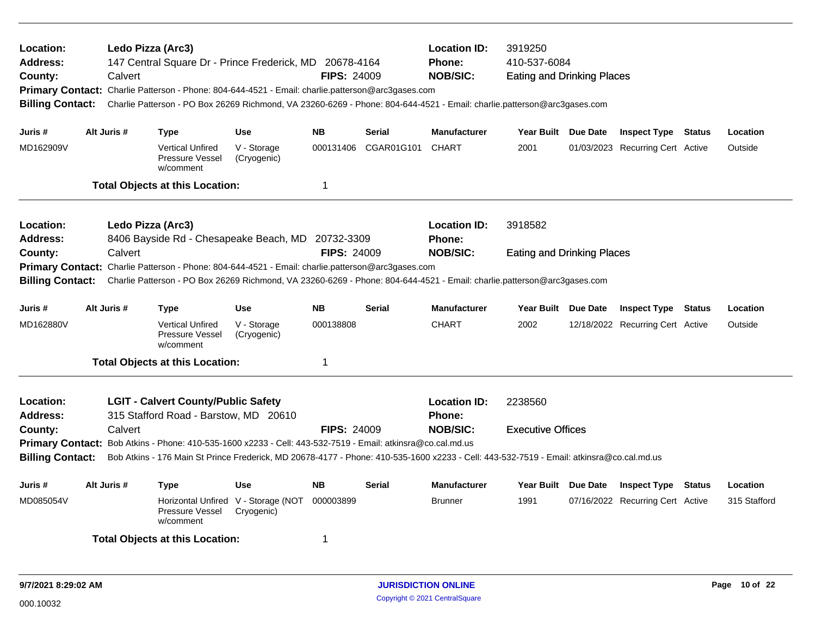| Ledo Pizza (Arc3)<br>Location:<br><b>Address:</b><br>147 Central Square Dr - Prince Frederick, MD 20678-4164<br>Calvert<br><b>FIPS: 24009</b><br>County:<br>Primary Contact: Charlie Patterson - Phone: 804-644-4521 - Email: charlie.patterson@arc3gases.com<br>Charlie Patterson - PO Box 26269 Richmond, VA 23260-6269 - Phone: 804-644-4521 - Email: charlie.patterson@arc3gases.com<br><b>Billing Contact:</b><br>Alt Juris # |                                                                                                                                                                                                                                                                                                                                                                                                            |         |                                                                                                                                                                                                                              |                                                   |                    |               | <b>Location ID:</b><br><b>Phone:</b><br><b>NOB/SIC:</b> | 3919250<br>410-537-6084<br><b>Eating and Drinking Places</b> |          |                                  |              |
|------------------------------------------------------------------------------------------------------------------------------------------------------------------------------------------------------------------------------------------------------------------------------------------------------------------------------------------------------------------------------------------------------------------------------------|------------------------------------------------------------------------------------------------------------------------------------------------------------------------------------------------------------------------------------------------------------------------------------------------------------------------------------------------------------------------------------------------------------|---------|------------------------------------------------------------------------------------------------------------------------------------------------------------------------------------------------------------------------------|---------------------------------------------------|--------------------|---------------|---------------------------------------------------------|--------------------------------------------------------------|----------|----------------------------------|--------------|
| Juris #                                                                                                                                                                                                                                                                                                                                                                                                                            |                                                                                                                                                                                                                                                                                                                                                                                                            |         | <b>Type</b>                                                                                                                                                                                                                  | <b>Use</b>                                        | <b>NB</b>          | <b>Serial</b> | <b>Manufacturer</b>                                     | Year Built Due Date                                          |          | <b>Inspect Type Status</b>       | Location     |
| MD162909V                                                                                                                                                                                                                                                                                                                                                                                                                          |                                                                                                                                                                                                                                                                                                                                                                                                            |         | <b>Vertical Unfired</b><br>Pressure Vessel<br>w/comment                                                                                                                                                                      | V - Storage<br>(Cryogenic)                        | 000131406          | CGAR01G101    | <b>CHART</b>                                            | 2001                                                         |          | 01/03/2023 Recurring Cert Active | Outside      |
|                                                                                                                                                                                                                                                                                                                                                                                                                                    |                                                                                                                                                                                                                                                                                                                                                                                                            |         | <b>Total Objects at this Location:</b>                                                                                                                                                                                       |                                                   | $\mathbf 1$        |               |                                                         |                                                              |          |                                  |              |
| Location:<br>Address:                                                                                                                                                                                                                                                                                                                                                                                                              |                                                                                                                                                                                                                                                                                                                                                                                                            |         | Ledo Pizza (Arc3)<br>8406 Bayside Rd - Chesapeake Beach, MD 20732-3309                                                                                                                                                       |                                                   |                    |               | <b>Location ID:</b><br>Phone:                           | 3918582                                                      |          |                                  |              |
| County:<br><b>Billing Contact:</b>                                                                                                                                                                                                                                                                                                                                                                                                 |                                                                                                                                                                                                                                                                                                                                                                                                            | Calvert | Primary Contact: Charlie Patterson - Phone: 804-644-4521 - Email: charlie.patterson@arc3gases.com<br>Charlie Patterson - PO Box 26269 Richmond, VA 23260-6269 - Phone: 804-644-4521 - Email: charlie.patterson@arc3gases.com |                                                   | <b>FIPS: 24009</b> |               | <b>NOB/SIC:</b>                                         | <b>Eating and Drinking Places</b>                            |          |                                  |              |
| Juris #                                                                                                                                                                                                                                                                                                                                                                                                                            | Alt Juris #                                                                                                                                                                                                                                                                                                                                                                                                |         | Type                                                                                                                                                                                                                         | <b>Use</b>                                        | <b>NB</b>          | <b>Serial</b> | <b>Manufacturer</b>                                     | Year Built Due Date                                          |          | <b>Inspect Type Status</b>       | Location     |
| MD162880V                                                                                                                                                                                                                                                                                                                                                                                                                          |                                                                                                                                                                                                                                                                                                                                                                                                            |         | <b>Vertical Unfired</b><br>Pressure Vessel<br>w/comment                                                                                                                                                                      | V - Storage<br>(Cryogenic)                        | 000138808          |               | <b>CHART</b>                                            | 2002                                                         |          | 12/18/2022 Recurring Cert Active | Outside      |
|                                                                                                                                                                                                                                                                                                                                                                                                                                    |                                                                                                                                                                                                                                                                                                                                                                                                            |         | <b>Total Objects at this Location:</b>                                                                                                                                                                                       |                                                   | $\mathbf 1$        |               |                                                         |                                                              |          |                                  |              |
| Location:<br><b>Address:</b><br>County:                                                                                                                                                                                                                                                                                                                                                                                            | <b>LGIT - Calvert County/Public Safety</b><br>315 Stafford Road - Barstow, MD 20610<br>Calvert<br><b>FIPS: 24009</b><br>Primary Contact: Bob Atkins - Phone: 410-535-1600 x2233 - Cell: 443-532-7519 - Email: atkinsra@co.cal.md.us<br><b>Billing Contact:</b><br>Bob Atkins - 176 Main St Prince Frederick, MD 20678-4177 - Phone: 410-535-1600 x2233 - Cell: 443-532-7519 - Email: atkinsra@co.cal.md.us |         |                                                                                                                                                                                                                              |                                                   |                    |               | <b>Location ID:</b><br><b>Phone:</b><br><b>NOB/SIC:</b> | 2238560<br><b>Executive Offices</b>                          |          |                                  |              |
| Juris #                                                                                                                                                                                                                                                                                                                                                                                                                            | Alt Juris #                                                                                                                                                                                                                                                                                                                                                                                                |         | <b>Type</b>                                                                                                                                                                                                                  | <b>Use</b>                                        | <b>NB</b>          | <b>Serial</b> | <b>Manufacturer</b>                                     | Year Built                                                   | Due Date | <b>Inspect Type Status</b>       | Location     |
| MD085054V                                                                                                                                                                                                                                                                                                                                                                                                                          |                                                                                                                                                                                                                                                                                                                                                                                                            |         | Pressure Vessel<br>w/comment                                                                                                                                                                                                 | Horizontal Unfired V - Storage (NOT<br>Cryogenic) | 000003899          |               | <b>Brunner</b>                                          | 1991                                                         |          | 07/16/2022 Recurring Cert Active | 315 Stafford |
|                                                                                                                                                                                                                                                                                                                                                                                                                                    |                                                                                                                                                                                                                                                                                                                                                                                                            |         | <b>Total Objects at this Location:</b>                                                                                                                                                                                       |                                                   | -1                 |               |                                                         |                                                              |          |                                  |              |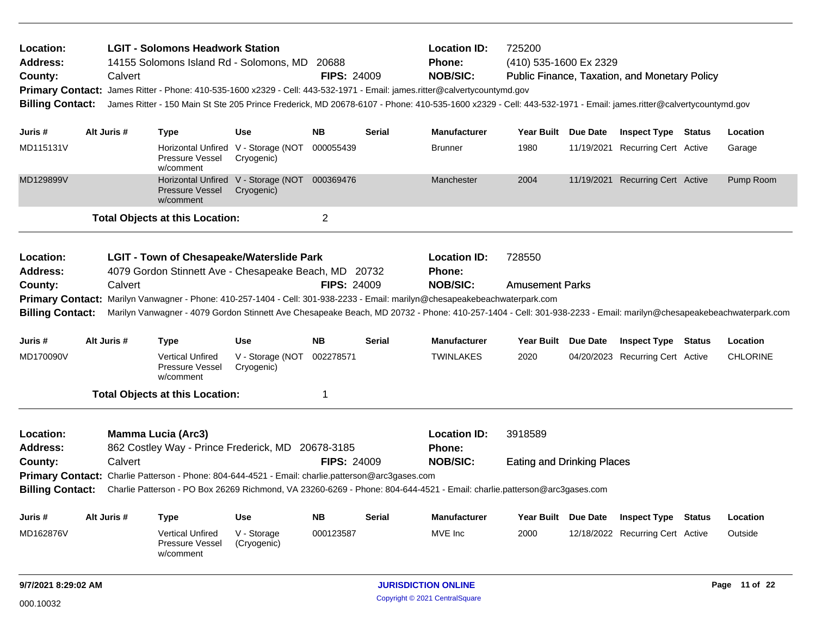| Location:<br><b>Address:</b><br>County:<br><b>Primary Contact:</b><br><b>Billing Contact:</b> |  | Calvert     | <b>LGIT - Solomons Headwork Station</b><br>14155 Solomons Island Rd - Solomons, MD                        |                                                             | 20688<br><b>FIPS: 24009</b> |               | <b>Location ID:</b><br>Phone:<br><b>NOB/SIC:</b><br>James Ritter - Phone: 410-535-1600 x2329 - Cell: 443-532-1971 - Email: james.ritter@calvertycountymd.gov<br>James Ritter - 150 Main St Ste 205 Prince Frederick, MD 20678-6107 - Phone: 410-535-1600 x2329 - Cell: 443-532-1971 - Email: james.ritter@calvertycountymd.gov | 725200<br>(410) 535-1600 Ex 2329  |          | Public Finance, Taxation, and Monetary Policy |  |                 |  |
|-----------------------------------------------------------------------------------------------|--|-------------|-----------------------------------------------------------------------------------------------------------|-------------------------------------------------------------|-----------------------------|---------------|--------------------------------------------------------------------------------------------------------------------------------------------------------------------------------------------------------------------------------------------------------------------------------------------------------------------------------|-----------------------------------|----------|-----------------------------------------------|--|-----------------|--|
| Juris #                                                                                       |  | Alt Juris # | <b>Type</b>                                                                                               | Use                                                         | <b>NB</b>                   | Serial        | <b>Manufacturer</b>                                                                                                                                                                                                                                                                                                            | <b>Year Built</b>                 | Due Date | <b>Inspect Type Status</b>                    |  | Location        |  |
| MD115131V                                                                                     |  |             | Pressure Vessel<br>w/comment                                                                              | Horizontal Unfired V - Storage (NOT<br>Cryogenic)           | 000055439                   |               | <b>Brunner</b>                                                                                                                                                                                                                                                                                                                 | 1980                              |          | 11/19/2021 Recurring Cert Active              |  | Garage          |  |
| MD129899V                                                                                     |  |             | Pressure Vessel<br>w/comment                                                                              | Horizontal Unfired V - Storage (NOT 000369476<br>Cryogenic) |                             |               | Manchester                                                                                                                                                                                                                                                                                                                     | 2004                              |          | 11/19/2021 Recurring Cert Active              |  | Pump Room       |  |
|                                                                                               |  |             | <b>Total Objects at this Location:</b>                                                                    |                                                             | $\overline{2}$              |               |                                                                                                                                                                                                                                                                                                                                |                                   |          |                                               |  |                 |  |
| Location:<br>Address:                                                                         |  |             | <b>LGIT - Town of Chesapeake/Waterslide Park</b><br>4079 Gordon Stinnett Ave - Chesapeake Beach, MD 20732 |                                                             |                             |               | <b>Location ID:</b><br>Phone:                                                                                                                                                                                                                                                                                                  | 728550                            |          |                                               |  |                 |  |
| County:<br><b>Billing Contact:</b>                                                            |  | Calvert     |                                                                                                           |                                                             | <b>FIPS: 24009</b>          |               | <b>NOB/SIC:</b><br>Primary Contact: Marilyn Vanwagner - Phone: 410-257-1404 - Cell: 301-938-2233 - Email: marilyn@chesapeakebeachwaterpark.com<br>Marilyn Vanwagner - 4079 Gordon Stinnett Ave Chesapeake Beach, MD 20732 - Phone: 410-257-1404 - Cell: 301-938-2233 - Email: marilyn@chesapeakebeachwaterpark.com             | <b>Amusement Parks</b>            |          |                                               |  |                 |  |
| Juris #                                                                                       |  | Alt Juris # | <b>Type</b>                                                                                               | <b>Use</b>                                                  | <b>NB</b>                   | <b>Serial</b> | <b>Manufacturer</b>                                                                                                                                                                                                                                                                                                            | Year Built Due Date               |          | <b>Inspect Type Status</b>                    |  | Location        |  |
| MD170090V                                                                                     |  |             | <b>Vertical Unfired</b><br>Pressure Vessel<br>w/comment                                                   | V - Storage (NOT<br>Cryogenic)                              | 002278571                   |               | <b>TWINLAKES</b>                                                                                                                                                                                                                                                                                                               | 2020                              |          | 04/20/2023 Recurring Cert Active              |  | <b>CHLORINE</b> |  |
|                                                                                               |  |             | <b>Total Objects at this Location:</b>                                                                    |                                                             | 1                           |               |                                                                                                                                                                                                                                                                                                                                |                                   |          |                                               |  |                 |  |
| Location:<br><b>Address:</b>                                                                  |  |             | <b>Mamma Lucia (Arc3)</b><br>862 Costley Way - Prince Frederick, MD 20678-3185                            |                                                             |                             |               | <b>Location ID:</b><br>Phone:                                                                                                                                                                                                                                                                                                  | 3918589                           |          |                                               |  |                 |  |
| County:                                                                                       |  | Calvert     |                                                                                                           |                                                             | <b>FIPS: 24009</b>          |               | <b>NOB/SIC:</b>                                                                                                                                                                                                                                                                                                                | <b>Eating and Drinking Places</b> |          |                                               |  |                 |  |
|                                                                                               |  |             | Primary Contact: Charlie Patterson - Phone: 804-644-4521 - Email: charlie.patterson@arc3gases.com         |                                                             |                             |               | Billing Contact: Charlie Patterson - PO Box 26269 Richmond, VA 23260-6269 - Phone: 804-644-4521 - Email: charlie.patterson@arc3gases.com                                                                                                                                                                                       |                                   |          |                                               |  |                 |  |
|                                                                                               |  |             |                                                                                                           |                                                             |                             |               |                                                                                                                                                                                                                                                                                                                                |                                   |          |                                               |  |                 |  |
| Juris #                                                                                       |  | Alt Juris # | <b>Type</b>                                                                                               | Use                                                         | <b>NB</b>                   | <b>Serial</b> | <b>Manufacturer</b>                                                                                                                                                                                                                                                                                                            |                                   |          | Year Built Due Date Inspect Type Status       |  | Location        |  |
| MD162876V                                                                                     |  |             | <b>Vertical Unfired</b><br><b>Pressure Vessel</b><br>w/comment                                            | V - Storage<br>(Cryogenic)                                  | 000123587                   |               | MVE Inc                                                                                                                                                                                                                                                                                                                        | 2000                              |          | 12/18/2022 Recurring Cert Active              |  | Outside         |  |
| 9/7/2021 8:29:02 AM                                                                           |  |             |                                                                                                           |                                                             |                             |               | Page 11 of 22<br><b>JURISDICTION ONLINE</b>                                                                                                                                                                                                                                                                                    |                                   |          |                                               |  |                 |  |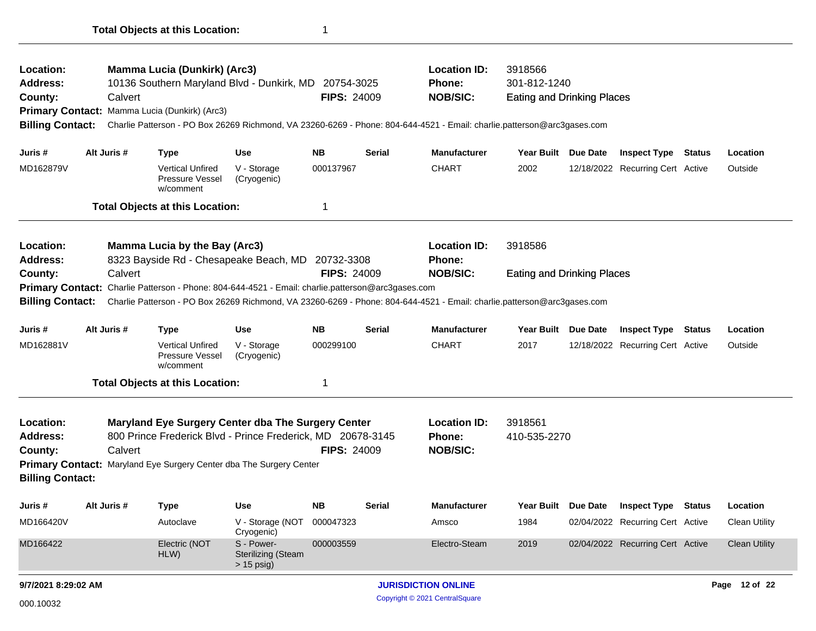| Location:                                                                                         |             | <b>Mamma Lucia (Dunkirk) (Arc3)</b>                                 |                                              |                    |               | <b>Location ID:</b>                                                                                                     | 3918566                           |          |                                                                      |        |                      |
|---------------------------------------------------------------------------------------------------|-------------|---------------------------------------------------------------------|----------------------------------------------|--------------------|---------------|-------------------------------------------------------------------------------------------------------------------------|-----------------------------------|----------|----------------------------------------------------------------------|--------|----------------------|
| <b>Address:</b>                                                                                   |             | 10136 Southern Maryland Blvd - Dunkirk, MD 20754-3025               |                                              |                    |               | <b>Phone:</b>                                                                                                           | 301-812-1240                      |          |                                                                      |        |                      |
| County:                                                                                           | Calvert     |                                                                     |                                              | <b>FIPS: 24009</b> |               | <b>NOB/SIC:</b>                                                                                                         | <b>Eating and Drinking Places</b> |          |                                                                      |        |                      |
|                                                                                                   |             | Primary Contact: Mamma Lucia (Dunkirk) (Arc3)                       |                                              |                    |               |                                                                                                                         |                                   |          |                                                                      |        |                      |
| <b>Billing Contact:</b>                                                                           |             |                                                                     |                                              |                    |               | Charlie Patterson - PO Box 26269 Richmond, VA 23260-6269 - Phone: 804-644-4521 - Email: charlie.patterson@arc3gases.com |                                   |          |                                                                      |        |                      |
| Juris #                                                                                           | Alt Juris # | <b>Type</b>                                                         | <b>Use</b>                                   | <b>NB</b>          | Serial        | <b>Manufacturer</b>                                                                                                     | Year Built Due Date               |          | <b>Inspect Type</b>                                                  | Status | Location             |
| MD162879V                                                                                         |             | <b>Vertical Unfired</b><br>Pressure Vessel<br>w/comment             | V - Storage<br>(Cryogenic)                   | 000137967          |               | <b>CHART</b>                                                                                                            | 2002                              |          | 12/18/2022 Recurring Cert Active                                     |        | Outside              |
|                                                                                                   |             | <b>Total Objects at this Location:</b>                              |                                              | 1                  |               |                                                                                                                         |                                   |          |                                                                      |        |                      |
| Location:                                                                                         |             | <b>Mamma Lucia by the Bay (Arc3)</b>                                |                                              |                    |               | <b>Location ID:</b>                                                                                                     | 3918586                           |          |                                                                      |        |                      |
| <b>Address:</b><br>Calvert                                                                        |             | 8323 Bayside Rd - Chesapeake Beach, MD                              |                                              | 20732-3308         |               | Phone:                                                                                                                  |                                   |          |                                                                      |        |                      |
| County:                                                                                           |             |                                                                     |                                              | <b>FIPS: 24009</b> |               | <b>NOB/SIC:</b>                                                                                                         | <b>Eating and Drinking Places</b> |          |                                                                      |        |                      |
| Primary Contact: Charlie Patterson - Phone: 804-644-4521 - Email: charlie.patterson@arc3gases.com |             |                                                                     |                                              |                    |               |                                                                                                                         |                                   |          |                                                                      |        |                      |
|                                                                                                   |             |                                                                     |                                              |                    |               |                                                                                                                         |                                   |          |                                                                      |        |                      |
|                                                                                                   |             |                                                                     |                                              |                    |               | Charlie Patterson - PO Box 26269 Richmond, VA 23260-6269 - Phone: 804-644-4521 - Email: charlie.patterson@arc3gases.com |                                   |          |                                                                      |        |                      |
|                                                                                                   | Alt Juris # | <b>Type</b>                                                         | <b>Use</b>                                   | <b>NB</b>          | <b>Serial</b> | <b>Manufacturer</b>                                                                                                     | Year Built Due Date               |          | <b>Inspect Type</b>                                                  | Status | Location             |
|                                                                                                   |             | <b>Vertical Unfired</b><br>Pressure Vessel<br>w/comment             | V - Storage<br>(Cryogenic)                   | 000299100          |               | <b>CHART</b>                                                                                                            | 2017                              |          | 12/18/2022 Recurring Cert Active                                     |        | Outside              |
| <b>Billing Contact:</b><br>Juris #<br>MD162881V                                                   |             | <b>Total Objects at this Location:</b>                              |                                              | 1                  |               |                                                                                                                         |                                   |          |                                                                      |        |                      |
|                                                                                                   |             | Maryland Eye Surgery Center dba The Surgery Center                  |                                              |                    |               | <b>Location ID:</b>                                                                                                     | 3918561                           |          |                                                                      |        |                      |
|                                                                                                   | Calvert     | 800 Prince Frederick Blvd - Prince Frederick, MD 20678-3145         |                                              | <b>FIPS: 24009</b> |               | <b>Phone:</b><br><b>NOB/SIC:</b>                                                                                        | 410-535-2270                      |          |                                                                      |        |                      |
| Location:<br>Address:<br>County:<br><b>Billing Contact:</b>                                       |             | Primary Contact: Maryland Eye Surgery Center dba The Surgery Center |                                              |                    |               |                                                                                                                         |                                   |          |                                                                      |        |                      |
| Juris#                                                                                            | Alt Juris # | <b>Type</b>                                                         | <b>Use</b>                                   | <b>NB</b>          | <b>Serial</b> | <b>Manufacturer</b>                                                                                                     | Year Built                        | Due Date | <b>Inspect Type Status</b>                                           |        | Location             |
| MD166420V                                                                                         |             | Autoclave                                                           | V - Storage (NOT<br>Cryogenic)<br>S - Power- | 000047323          |               | Amsco                                                                                                                   | 1984                              |          | 02/04/2022 Recurring Cert Active<br>02/04/2022 Recurring Cert Active |        | <b>Clean Utility</b> |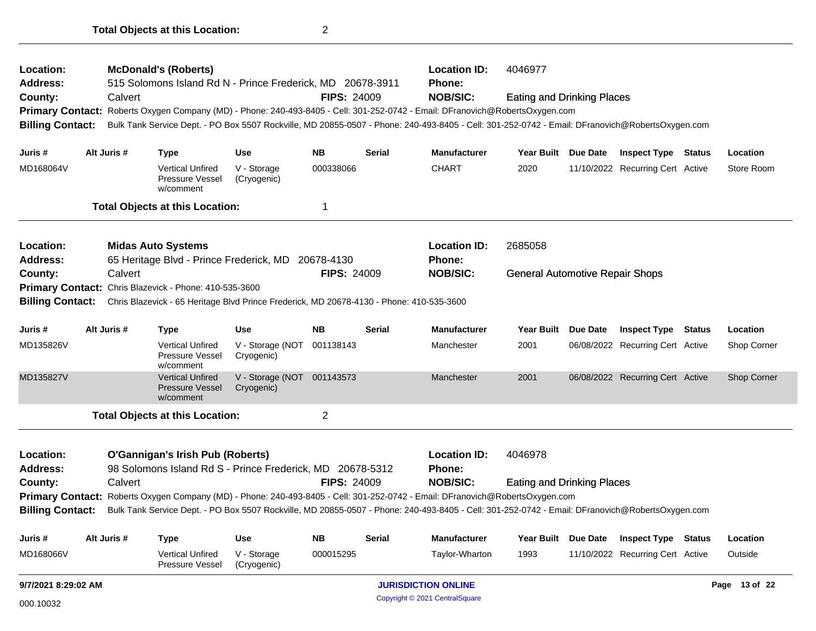| MD168066V                           |                                                                                                                                   |         | <b>Vertical Unfired</b>                                        | V - Storage                                                                              | 000015295          |               | Taylor-Wharton                                                                                                                                  | 1993                                   |          | 11/10/2022 Recurring Cert Active |  | Outside     |
|-------------------------------------|-----------------------------------------------------------------------------------------------------------------------------------|---------|----------------------------------------------------------------|------------------------------------------------------------------------------------------|--------------------|---------------|-------------------------------------------------------------------------------------------------------------------------------------------------|----------------------------------------|----------|----------------------------------|--|-------------|
| Juris #                             | Alt Juris #                                                                                                                       |         | <b>Type</b>                                                    | <b>Use</b>                                                                               | <b>NB</b>          | <b>Serial</b> | <b>Manufacturer</b>                                                                                                                             | Year Built Due Date                    |          | <b>Inspect Type Status</b>       |  | Location    |
| <b>Billing Contact:</b>             |                                                                                                                                   |         |                                                                |                                                                                          |                    |               | Bulk Tank Service Dept. - PO Box 5507 Rockville, MD 20855-0507 - Phone: 240-493-8405 - Cell: 301-252-0742 - Email: DFranovich@RobertsOxygen.com |                                        |          |                                  |  |             |
|                                     |                                                                                                                                   |         |                                                                |                                                                                          |                    |               | Primary Contact: Roberts Oxygen Company (MD) - Phone: 240-493-8405 - Cell: 301-252-0742 - Email: DFranovich@RobertsOxygen.com                   |                                        |          |                                  |  |             |
| County:                             |                                                                                                                                   | Calvert |                                                                |                                                                                          | <b>FIPS: 24009</b> |               | <b>NOB/SIC:</b>                                                                                                                                 | <b>Eating and Drinking Places</b>      |          |                                  |  |             |
| Address:                            |                                                                                                                                   |         |                                                                | 98 Solomons Island Rd S - Prince Frederick, MD 20678-5312                                |                    |               | <b>Phone:</b>                                                                                                                                   |                                        |          |                                  |  |             |
| Location:                           |                                                                                                                                   |         | <b>O'Gannigan's Irish Pub (Roberts)</b>                        |                                                                                          |                    |               | <b>Location ID:</b>                                                                                                                             | 4046978                                |          |                                  |  |             |
|                                     |                                                                                                                                   |         | <b>Total Objects at this Location:</b>                         |                                                                                          | $\overline{2}$     |               |                                                                                                                                                 |                                        |          |                                  |  |             |
| MD135827V                           |                                                                                                                                   |         | <b>Vertical Unfired</b><br><b>Pressure Vessel</b><br>w/comment | V - Storage (NOT 001143573<br>Cryogenic)                                                 |                    |               | Manchester                                                                                                                                      | 2001                                   |          | 06/08/2022 Recurring Cert Active |  | Shop Corner |
| MD135826V                           |                                                                                                                                   |         | <b>Vertical Unfired</b><br>Pressure Vessel<br>w/comment        | V - Storage (NOT 001138143<br>Cryogenic)                                                 |                    |               | Manchester                                                                                                                                      | 2001                                   |          | 06/08/2022 Recurring Cert Active |  | Shop Corner |
| Juris #                             | Alt Juris #                                                                                                                       |         | <b>Type</b>                                                    | Use                                                                                      | <b>NB</b>          | <b>Serial</b> | <b>Manufacturer</b>                                                                                                                             | <b>Year Built</b>                      | Due Date | <b>Inspect Type Status</b>       |  | Location    |
| <b>Billing Contact:</b>             |                                                                                                                                   |         |                                                                | Chris Blazevick - 65 Heritage Blvd Prince Frederick, MD 20678-4130 - Phone: 410-535-3600 |                    |               |                                                                                                                                                 |                                        |          |                                  |  |             |
|                                     |                                                                                                                                   |         | Primary Contact: Chris Blazevick - Phone: 410-535-3600         |                                                                                          |                    |               |                                                                                                                                                 |                                        |          |                                  |  |             |
| County:                             |                                                                                                                                   | Calvert |                                                                |                                                                                          | <b>FIPS: 24009</b> |               | <b>NOB/SIC:</b>                                                                                                                                 | <b>General Automotive Repair Shops</b> |          |                                  |  |             |
| Address:                            |                                                                                                                                   |         |                                                                | 65 Heritage Blvd - Prince Frederick, MD 20678-4130                                       |                    |               | <b>Phone:</b>                                                                                                                                   |                                        |          |                                  |  |             |
| Location:                           |                                                                                                                                   |         | <b>Midas Auto Systems</b>                                      |                                                                                          |                    |               | <b>Location ID:</b>                                                                                                                             | 2685058                                |          |                                  |  |             |
|                                     |                                                                                                                                   |         | <b>Total Objects at this Location:</b>                         |                                                                                          | $\mathbf 1$        |               |                                                                                                                                                 |                                        |          |                                  |  |             |
| MD168064V                           |                                                                                                                                   |         | <b>Vertical Unfired</b><br>Pressure Vessel<br>w/comment        | V - Storage<br>(Cryogenic)                                                               | 000338066          |               | <b>CHART</b>                                                                                                                                    | 2020                                   |          | 11/10/2022 Recurring Cert Active |  | Store Room  |
| Juris #                             | Alt Juris #                                                                                                                       |         | <b>Type</b>                                                    | <b>Use</b>                                                                               | <b>NB</b>          | <b>Serial</b> | <b>Manufacturer</b>                                                                                                                             | Year Built Due Date                    |          | <b>Inspect Type Status</b>       |  | Location    |
| <b>Billing Contact:</b>             |                                                                                                                                   |         |                                                                |                                                                                          |                    |               | Bulk Tank Service Dept. - PO Box 5507 Rockville, MD 20855-0507 - Phone: 240-493-8405 - Cell: 301-252-0742 - Email: DFranovich@RobertsOxygen.com |                                        |          |                                  |  |             |
| <b>Primary Contact:</b>             |                                                                                                                                   |         |                                                                |                                                                                          |                    |               | Roberts Oxygen Company (MD) - Phone: 240-493-8405 - Cell: 301-252-0742 - Email: DFranovich@RobertsOxygen.com                                    |                                        |          |                                  |  |             |
| County:                             |                                                                                                                                   | Calvert |                                                                |                                                                                          | <b>FIPS: 24009</b> |               | <b>NOB/SIC:</b>                                                                                                                                 | <b>Eating and Drinking Places</b>      |          |                                  |  |             |
| <b>Location:</b><br><b>Address:</b> | <b>McDonald's (Roberts)</b><br><b>Location ID:</b><br>515 Solomons Island Rd N - Prince Frederick, MD 20678-3911<br><b>Phone:</b> |         |                                                                |                                                                                          |                    |               | 4046977                                                                                                                                         |                                        |          |                                  |  |             |

Copyright © 2021 CentralSquare 000.10032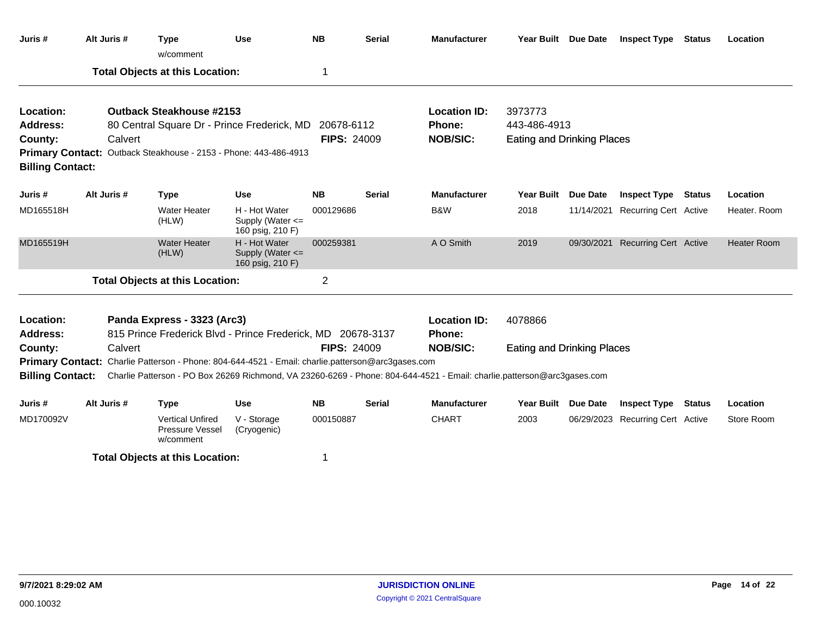| Juris#                             | Alt Juris # | <b>Type</b><br>w/comment                                                                                                | <b>Use</b>                                            | <b>NB</b>          | <b>Serial</b> | <b>Manufacturer</b>           | Year Built Due Date               |                 | <b>Inspect Type Status</b>       |               | Location           |
|------------------------------------|-------------|-------------------------------------------------------------------------------------------------------------------------|-------------------------------------------------------|--------------------|---------------|-------------------------------|-----------------------------------|-----------------|----------------------------------|---------------|--------------------|
|                                    |             | <b>Total Objects at this Location:</b>                                                                                  |                                                       | 1                  |               |                               |                                   |                 |                                  |               |                    |
| Location:<br>Address:              |             | <b>Outback Steakhouse #2153</b><br>80 Central Square Dr - Prince Frederick, MD                                          |                                                       | 20678-6112         |               | <b>Location ID:</b><br>Phone: | 3973773<br>443-486-4913           |                 |                                  |               |                    |
| County:                            | Calvert     | Primary Contact: Outback Steakhouse - 2153 - Phone: 443-486-4913                                                        |                                                       | <b>FIPS: 24009</b> |               | <b>NOB/SIC:</b>               | <b>Eating and Drinking Places</b> |                 |                                  |               |                    |
| <b>Billing Contact:</b><br>Juris # | Alt Juris # | <b>Type</b>                                                                                                             | <b>Use</b>                                            | <b>NB</b>          | Serial        | <b>Manufacturer</b>           | <b>Year Built</b>                 | <b>Due Date</b> | <b>Inspect Type</b>              | <b>Status</b> | Location           |
| MD165518H                          |             | <b>Water Heater</b><br>(HLW)                                                                                            | H - Hot Water<br>Supply (Water <=<br>160 psig, 210 F) | 000129686          |               | B&W                           | 2018                              |                 | 11/14/2021 Recurring Cert Active |               | Heater. Room       |
| MD165519H                          |             | <b>Water Heater</b><br>(HLW)                                                                                            | H - Hot Water<br>Supply (Water <=<br>160 psig, 210 F) | 000259381          |               | A O Smith                     | 2019                              |                 | 09/30/2021 Recurring Cert Active |               | <b>Heater Room</b> |
|                                    |             | <b>Total Objects at this Location:</b>                                                                                  |                                                       | $\overline{2}$     |               |                               |                                   |                 |                                  |               |                    |
| Location:<br>Address:              |             | Panda Express - 3323 (Arc3)<br>815 Prince Frederick Blvd - Prince Frederick, MD 20678-3137                              |                                                       |                    |               | <b>Location ID:</b><br>Phone: | 4078866                           |                 |                                  |               |                    |
| County:                            | Calvert     | Primary Contact: Charlie Patterson - Phone: 804-644-4521 - Email: charlie.patterson@arc3gases.com                       |                                                       | <b>FIPS: 24009</b> |               | <b>NOB/SIC:</b>               | <b>Eating and Drinking Places</b> |                 |                                  |               |                    |
| <b>Billing Contact:</b>            |             | Charlie Patterson - PO Box 26269 Richmond, VA 23260-6269 - Phone: 804-644-4521 - Email: charlie.patterson@arc3gases.com |                                                       |                    |               |                               |                                   |                 |                                  |               |                    |
| Juris #                            | Alt Juris # | <b>Type</b>                                                                                                             | <b>Use</b>                                            | <b>NB</b>          | <b>Serial</b> | <b>Manufacturer</b>           | <b>Year Built</b>                 | Due Date        | <b>Inspect Type</b>              | <b>Status</b> | Location           |
| MD170092V                          |             | <b>Vertical Unfired</b><br>Pressure Vessel<br>w/comment                                                                 | V - Storage<br>(Cryogenic)                            | 000150887          |               | <b>CHART</b>                  | 2003                              |                 | 06/29/2023 Recurring Cert Active |               | Store Room         |
|                                    |             | <b>Total Objects at this Location:</b>                                                                                  |                                                       | 1                  |               |                               |                                   |                 |                                  |               |                    |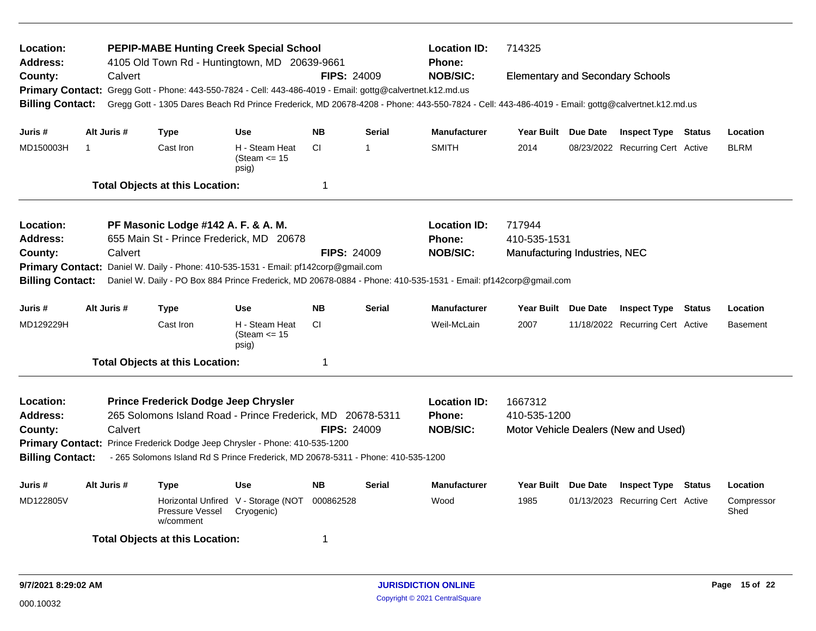| Location:<br><b>Address:</b><br>County:<br><b>Primary Contact:</b><br><b>Billing Contact:</b>                                                                                                                                                                                                                                                                                | <b>Location ID:</b><br><b>PEPIP-MABE Hunting Creek Special School</b><br>714325<br>4105 Old Town Rd - Huntingtown, MD 20639-9661<br>Phone:<br><b>NOB/SIC:</b><br><b>FIPS: 24009</b><br>Calvert<br><b>Elementary and Secondary Schools</b><br>Gregg Gott - Phone: 443-550-7824 - Cell: 443-486-4019 - Email: gottg@calvertnet.k12.md.us<br>Gregg Gott - 1305 Dares Beach Rd Prince Frederick, MD 20678-4208 - Phone: 443-550-7824 - Cell: 443-486-4019 - Email: gottg@calvertnet.k12.md.us |         |                                                                                                                                                                                                                                                                                           |                                                   |                                                  |                         |                                                  |                                                         |                 |                                  |  |                    |
|------------------------------------------------------------------------------------------------------------------------------------------------------------------------------------------------------------------------------------------------------------------------------------------------------------------------------------------------------------------------------|-------------------------------------------------------------------------------------------------------------------------------------------------------------------------------------------------------------------------------------------------------------------------------------------------------------------------------------------------------------------------------------------------------------------------------------------------------------------------------------------|---------|-------------------------------------------------------------------------------------------------------------------------------------------------------------------------------------------------------------------------------------------------------------------------------------------|---------------------------------------------------|--------------------------------------------------|-------------------------|--------------------------------------------------|---------------------------------------------------------|-----------------|----------------------------------|--|--------------------|
| Juris #                                                                                                                                                                                                                                                                                                                                                                      | Alt Juris #                                                                                                                                                                                                                                                                                                                                                                                                                                                                               |         | Type                                                                                                                                                                                                                                                                                      | <b>Use</b>                                        | <b>NB</b>                                        | <b>Serial</b>           | <b>Manufacturer</b>                              | Year Built Due Date                                     |                 | <b>Inspect Type Status</b>       |  | Location           |
| MD150003H                                                                                                                                                                                                                                                                                                                                                                    | $\mathbf{1}$                                                                                                                                                                                                                                                                                                                                                                                                                                                                              |         | Cast Iron                                                                                                                                                                                                                                                                                 | H - Steam Heat<br>(Steam $\le$ 15<br>psig)        | <b>CI</b>                                        | -1                      | <b>SMITH</b>                                     | 2014                                                    |                 | 08/23/2022 Recurring Cert Active |  | <b>BLRM</b>        |
|                                                                                                                                                                                                                                                                                                                                                                              |                                                                                                                                                                                                                                                                                                                                                                                                                                                                                           |         | <b>Total Objects at this Location:</b>                                                                                                                                                                                                                                                    |                                                   | -1                                               |                         |                                                  |                                                         |                 |                                  |  |                    |
| Location:<br><b>Address:</b><br>County:<br><b>Billing Contact:</b>                                                                                                                                                                                                                                                                                                           |                                                                                                                                                                                                                                                                                                                                                                                                                                                                                           | Calvert | PF Masonic Lodge #142 A. F. & A. M.<br>655 Main St - Prince Frederick, MD 20678<br>Primary Contact: Daniel W. Daily - Phone: 410-535-1531 - Email: pf142corp@gmail.com<br>Daniel W. Daily - PO Box 884 Prince Frederick, MD 20678-0884 - Phone: 410-535-1531 - Email: pf142corp@gmail.com |                                                   | <b>FIPS: 24009</b>                               |                         | <b>Location ID:</b><br>Phone:<br><b>NOB/SIC:</b> | 717944<br>410-535-1531<br>Manufacturing Industries, NEC |                 |                                  |  |                    |
| Juris #                                                                                                                                                                                                                                                                                                                                                                      | Alt Juris #                                                                                                                                                                                                                                                                                                                                                                                                                                                                               |         | Type                                                                                                                                                                                                                                                                                      | <b>Use</b>                                        | <b>NB</b>                                        | <b>Serial</b>           | <b>Manufacturer</b>                              | Year Built Due Date                                     |                 | <b>Inspect Type Status</b>       |  | Location           |
| MD129229H                                                                                                                                                                                                                                                                                                                                                                    |                                                                                                                                                                                                                                                                                                                                                                                                                                                                                           |         | Cast Iron                                                                                                                                                                                                                                                                                 | H - Steam Heat<br>(Steam $\leq$ 15<br>psig)       | <b>CI</b>                                        |                         | Weil-McLain                                      | 2007                                                    |                 | 11/18/2022 Recurring Cert Active |  | <b>Basement</b>    |
|                                                                                                                                                                                                                                                                                                                                                                              |                                                                                                                                                                                                                                                                                                                                                                                                                                                                                           |         | <b>Total Objects at this Location:</b>                                                                                                                                                                                                                                                    |                                                   | $\mathbf 1$                                      |                         |                                                  |                                                         |                 |                                  |  |                    |
| Prince Frederick Dodge Jeep Chrysler<br>Location:<br>265 Solomons Island Road - Prince Frederick, MD 20678-5311<br><b>Address:</b><br>Calvert<br><b>FIPS: 24009</b><br>County:<br>Primary Contact: Prince Frederick Dodge Jeep Chrysler - Phone: 410-535-1200<br><b>Billing Contact:</b><br>- 265 Solomons Island Rd S Prince Frederick, MD 20678-5311 - Phone: 410-535-1200 |                                                                                                                                                                                                                                                                                                                                                                                                                                                                                           |         |                                                                                                                                                                                                                                                                                           |                                                   | <b>Location ID:</b><br>Phone:<br><b>NOB/SIC:</b> | 1667312<br>410-535-1200 |                                                  | Motor Vehicle Dealers (New and Used)                    |                 |                                  |  |                    |
| Juris #                                                                                                                                                                                                                                                                                                                                                                      | Alt Juris #                                                                                                                                                                                                                                                                                                                                                                                                                                                                               |         | <b>Type</b>                                                                                                                                                                                                                                                                               | <b>Use</b>                                        | <b>NB</b>                                        | <b>Serial</b>           | <b>Manufacturer</b>                              | <b>Year Built</b>                                       | <b>Due Date</b> | <b>Inspect Type Status</b>       |  | Location           |
| MD122805V                                                                                                                                                                                                                                                                                                                                                                    |                                                                                                                                                                                                                                                                                                                                                                                                                                                                                           |         | Pressure Vessel<br>w/comment                                                                                                                                                                                                                                                              | Horizontal Unfired V - Storage (NOT<br>Cryogenic) | 000862528                                        |                         | Wood                                             | 1985                                                    |                 | 01/13/2023 Recurring Cert Active |  | Compressor<br>Shed |
|                                                                                                                                                                                                                                                                                                                                                                              |                                                                                                                                                                                                                                                                                                                                                                                                                                                                                           |         | <b>Total Objects at this Location:</b>                                                                                                                                                                                                                                                    |                                                   | -1                                               |                         |                                                  |                                                         |                 |                                  |  |                    |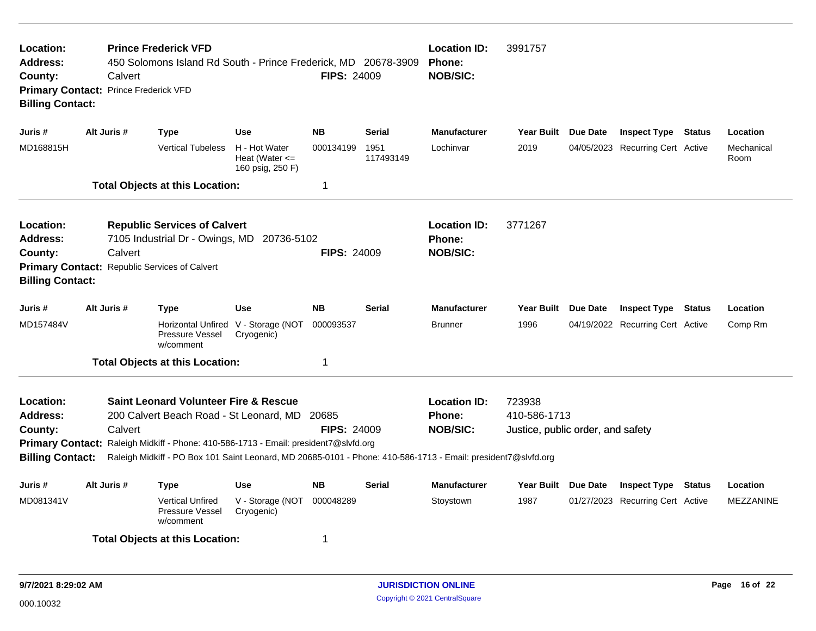| Location:<br><b>Address:</b><br>County:                            | <b>Location ID:</b><br><b>Prince Frederick VFD</b><br>3991757<br>450 Solomons Island Rd South - Prince Frederick, MD 20678-3909<br>Phone:<br><b>NOB/SIC:</b><br><b>FIPS: 24009</b><br>Calvert<br>Primary Contact: Prince Frederick VFD<br><b>Billing Contact:</b> |             |                                                                                                                                                                                                                                                                                                            |                                                         |                    |                   |                                                         |                                                             |                 |                                  |        |                    |
|--------------------------------------------------------------------|-------------------------------------------------------------------------------------------------------------------------------------------------------------------------------------------------------------------------------------------------------------------|-------------|------------------------------------------------------------------------------------------------------------------------------------------------------------------------------------------------------------------------------------------------------------------------------------------------------------|---------------------------------------------------------|--------------------|-------------------|---------------------------------------------------------|-------------------------------------------------------------|-----------------|----------------------------------|--------|--------------------|
| Juris #                                                            |                                                                                                                                                                                                                                                                   | Alt Juris # | <b>Type</b>                                                                                                                                                                                                                                                                                                | Use                                                     | <b>NB</b>          | <b>Serial</b>     | <b>Manufacturer</b>                                     | <b>Year Built</b>                                           | <b>Due Date</b> | <b>Inspect Type Status</b>       |        | Location           |
| MD168815H                                                          |                                                                                                                                                                                                                                                                   |             | <b>Vertical Tubeless</b>                                                                                                                                                                                                                                                                                   | H - Hot Water<br>Heat (Water $\leq$<br>160 psig, 250 F) | 000134199          | 1951<br>117493149 | Lochinvar                                               | 2019                                                        |                 | 04/05/2023 Recurring Cert Active |        | Mechanical<br>Room |
|                                                                    |                                                                                                                                                                                                                                                                   |             | <b>Total Objects at this Location:</b>                                                                                                                                                                                                                                                                     |                                                         | 1                  |                   |                                                         |                                                             |                 |                                  |        |                    |
| Location:<br>Address:<br>County:<br><b>Billing Contact:</b>        |                                                                                                                                                                                                                                                                   | Calvert     | <b>Republic Services of Calvert</b><br>7105 Industrial Dr - Owings, MD 20736-5102<br>Primary Contact: Republic Services of Calvert                                                                                                                                                                         |                                                         | <b>FIPS: 24009</b> |                   | <b>Location ID:</b><br>Phone:<br><b>NOB/SIC:</b>        | 3771267                                                     |                 |                                  |        |                    |
| Juris #                                                            |                                                                                                                                                                                                                                                                   | Alt Juris # | Type                                                                                                                                                                                                                                                                                                       | <b>Use</b>                                              | <b>NB</b>          | <b>Serial</b>     | <b>Manufacturer</b>                                     | Year Built Due Date                                         |                 | <b>Inspect Type Status</b>       |        | Location           |
| MD157484V                                                          |                                                                                                                                                                                                                                                                   |             | Pressure Vessel<br>w/comment                                                                                                                                                                                                                                                                               | Horizontal Unfired V - Storage (NOT<br>Cryogenic)       | 000093537          |                   | <b>Brunner</b>                                          | 1996                                                        |                 | 04/19/2022 Recurring Cert Active |        | Comp Rm            |
|                                                                    |                                                                                                                                                                                                                                                                   |             | <b>Total Objects at this Location:</b>                                                                                                                                                                                                                                                                     |                                                         | 1                  |                   |                                                         |                                                             |                 |                                  |        |                    |
| Location:<br><b>Address:</b><br>County:<br><b>Billing Contact:</b> |                                                                                                                                                                                                                                                                   | Calvert     | <b>Saint Leonard Volunteer Fire &amp; Rescue</b><br>200 Calvert Beach Road - St Leonard, MD 20685<br>Primary Contact: Raleigh Midkiff - Phone: 410-586-1713 - Email: president7@slvfd.org<br>Raleigh Midkiff - PO Box 101 Saint Leonard, MD 20685-0101 - Phone: 410-586-1713 - Email: president7@slvfd.org |                                                         | <b>FIPS: 24009</b> |                   | <b>Location ID:</b><br><b>Phone:</b><br><b>NOB/SIC:</b> | 723938<br>410-586-1713<br>Justice, public order, and safety |                 |                                  |        |                    |
| Juris #                                                            |                                                                                                                                                                                                                                                                   | Alt Juris # | <b>Type</b>                                                                                                                                                                                                                                                                                                | <b>Use</b>                                              | NΒ                 | <b>Serial</b>     | <b>Manufacturer</b>                                     | Year Built Due Date                                         |                 | <b>Inspect Type</b>              | Status | Location           |
| MD081341V                                                          |                                                                                                                                                                                                                                                                   |             | <b>Vertical Unfired</b><br>Pressure Vessel<br>w/comment                                                                                                                                                                                                                                                    | V - Storage (NOT<br>Cryogenic)                          | 000048289          |                   | Stoystown                                               | 1987                                                        |                 | 01/27/2023 Recurring Cert Active |        | <b>MEZZANINE</b>   |
|                                                                    |                                                                                                                                                                                                                                                                   |             | <b>Total Objects at this Location:</b>                                                                                                                                                                                                                                                                     |                                                         | 1                  |                   |                                                         |                                                             |                 |                                  |        |                    |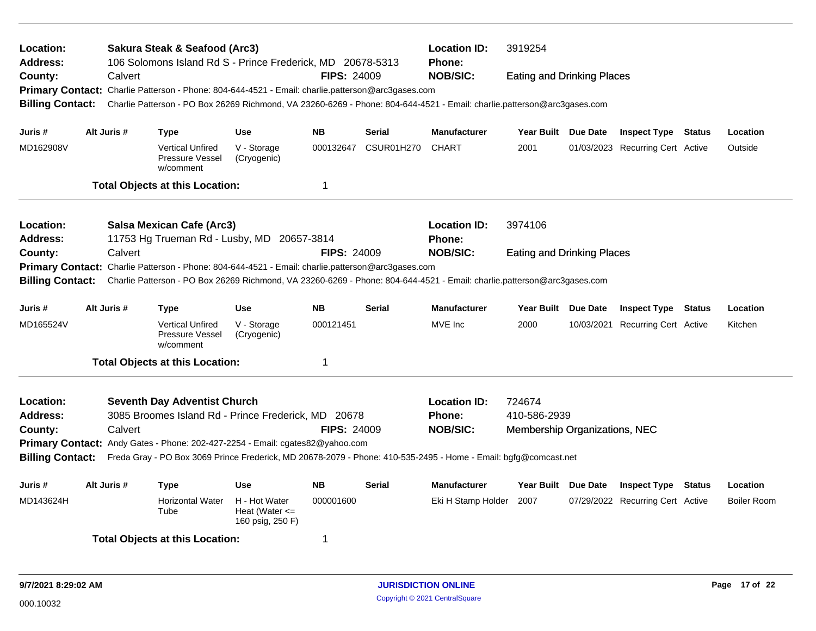| <b>Location:</b><br>Address:                |                                                                                                                                            |             | Sakura Steak & Seafood (Arc3)<br><b>Location ID:</b><br>3919254<br>106 Solomons Island Rd S - Prince Frederick, MD 20678-5313<br><b>Phone:</b> |                                                         |                    |                   |                                                                                                                         |                                   |            |                                  |  |                    |
|---------------------------------------------|--------------------------------------------------------------------------------------------------------------------------------------------|-------------|------------------------------------------------------------------------------------------------------------------------------------------------|---------------------------------------------------------|--------------------|-------------------|-------------------------------------------------------------------------------------------------------------------------|-----------------------------------|------------|----------------------------------|--|--------------------|
| County:                                     |                                                                                                                                            | Calvert     |                                                                                                                                                |                                                         | <b>FIPS: 24009</b> |                   | <b>NOB/SIC:</b>                                                                                                         | <b>Eating and Drinking Places</b> |            |                                  |  |                    |
| <b>Primary Contact:</b>                     |                                                                                                                                            |             | Charlie Patterson - Phone: 804-644-4521 - Email: charlie.patterson@arc3gases.com                                                               |                                                         |                    |                   |                                                                                                                         |                                   |            |                                  |  |                    |
| <b>Billing Contact:</b>                     |                                                                                                                                            |             |                                                                                                                                                |                                                         |                    |                   | Charlie Patterson - PO Box 26269 Richmond, VA 23260-6269 - Phone: 804-644-4521 - Email: charlie.patterson@arc3gases.com |                                   |            |                                  |  |                    |
| Juris #                                     | Alt Juris #                                                                                                                                |             | <b>Type</b>                                                                                                                                    | <b>Use</b>                                              | <b>NB</b>          | <b>Serial</b>     | <b>Manufacturer</b>                                                                                                     | Year Built Due Date               |            | <b>Inspect Type Status</b>       |  | Location           |
| MD162908V                                   |                                                                                                                                            |             | <b>Vertical Unfired</b><br>Pressure Vessel<br>w/comment                                                                                        | V - Storage<br>(Cryogenic)                              | 000132647          | <b>CSUR01H270</b> | <b>CHART</b>                                                                                                            | 2001                              |            | 01/03/2023 Recurring Cert Active |  | Outside            |
|                                             |                                                                                                                                            |             | <b>Total Objects at this Location:</b>                                                                                                         |                                                         | 1                  |                   |                                                                                                                         |                                   |            |                                  |  |                    |
| Location:                                   |                                                                                                                                            |             | <b>Salsa Mexican Cafe (Arc3)</b>                                                                                                               |                                                         |                    |                   | <b>Location ID:</b>                                                                                                     | 3974106                           |            |                                  |  |                    |
| <b>Address:</b>                             |                                                                                                                                            |             | 11753 Hg Trueman Rd - Lusby, MD 20657-3814                                                                                                     |                                                         |                    |                   | Phone:                                                                                                                  |                                   |            |                                  |  |                    |
| County:                                     |                                                                                                                                            | Calvert     |                                                                                                                                                |                                                         | <b>FIPS: 24009</b> |                   | <b>NOB/SIC:</b>                                                                                                         | <b>Eating and Drinking Places</b> |            |                                  |  |                    |
|                                             |                                                                                                                                            |             | Primary Contact: Charlie Patterson - Phone: 804-644-4521 - Email: charlie.patterson@arc3gases.com                                              |                                                         |                    |                   |                                                                                                                         |                                   |            |                                  |  |                    |
| <b>Billing Contact:</b>                     |                                                                                                                                            |             |                                                                                                                                                |                                                         |                    |                   | Charlie Patterson - PO Box 26269 Richmond, VA 23260-6269 - Phone: 804-644-4521 - Email: charlie.patterson@arc3gases.com |                                   |            |                                  |  |                    |
| Juris #                                     |                                                                                                                                            | Alt Juris # | Type                                                                                                                                           | <b>Use</b>                                              | <b>NB</b>          | <b>Serial</b>     | <b>Manufacturer</b>                                                                                                     | Year Built Due Date               |            | <b>Inspect Type Status</b>       |  | Location           |
| MD165524V                                   |                                                                                                                                            |             | <b>Vertical Unfired</b><br>Pressure Vessel<br>w/comment                                                                                        | V - Storage<br>(Cryogenic)                              | 000121451          |                   | MVE Inc                                                                                                                 | 2000                              | 10/03/2021 | <b>Recurring Cert Active</b>     |  | Kitchen            |
|                                             |                                                                                                                                            |             | <b>Total Objects at this Location:</b>                                                                                                         |                                                         | 1                  |                   |                                                                                                                         |                                   |            |                                  |  |                    |
| Location:                                   |                                                                                                                                            |             | <b>Seventh Day Adventist Church</b>                                                                                                            |                                                         |                    |                   | <b>Location ID:</b>                                                                                                     | 724674                            |            |                                  |  |                    |
| <b>Address:</b>                             |                                                                                                                                            |             | 3085 Broomes Island Rd - Prince Frederick, MD 20678                                                                                            |                                                         |                    |                   | <b>Phone:</b>                                                                                                           | 410-586-2939                      |            |                                  |  |                    |
| County:                                     |                                                                                                                                            | Calvert     |                                                                                                                                                |                                                         | <b>FIPS: 24009</b> |                   | <b>NOB/SIC:</b>                                                                                                         | Membership Organizations, NEC     |            |                                  |  |                    |
|                                             | Primary Contact: Andy Gates - Phone: 202-427-2254 - Email: cgates82@yahoo.com                                                              |             |                                                                                                                                                |                                                         |                    |                   |                                                                                                                         |                                   |            |                                  |  |                    |
|                                             | <b>Billing Contact:</b><br>Freda Gray - PO Box 3069 Prince Frederick, MD 20678-2079 - Phone: 410-535-2495 - Home - Email: bgfg@comcast.net |             |                                                                                                                                                |                                                         |                    |                   |                                                                                                                         |                                   |            |                                  |  |                    |
| Juris #                                     |                                                                                                                                            | Alt Juris # | <b>Type</b>                                                                                                                                    | <b>Use</b>                                              | <b>NB</b>          | <b>Serial</b>     | <b>Manufacturer</b>                                                                                                     | Year Built Due Date               |            | <b>Inspect Type Status</b>       |  | Location           |
| MD143624H                                   |                                                                                                                                            |             | <b>Horizontal Water</b><br>Tube                                                                                                                | H - Hot Water<br>Heat (Water $\leq$<br>160 psig, 250 F) | 000001600          |                   | Eki H Stamp Holder                                                                                                      | 2007                              |            | 07/29/2022 Recurring Cert Active |  | <b>Boiler Room</b> |
| <b>Total Objects at this Location:</b><br>1 |                                                                                                                                            |             |                                                                                                                                                |                                                         |                    |                   |                                                                                                                         |                                   |            |                                  |  |                    |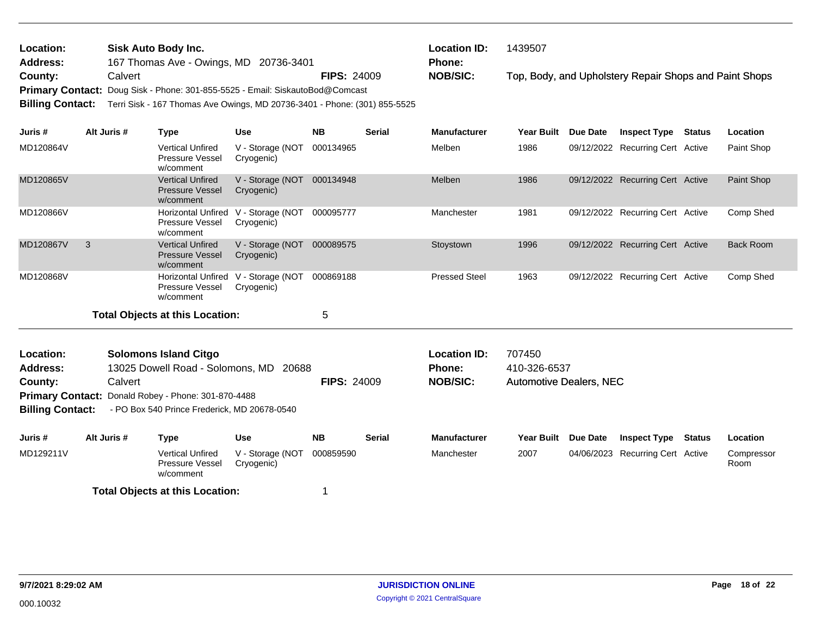| Location:               | Sisk Auto Body Inc.                                                           |                    | <b>Location ID:</b> | 1439507                                                |
|-------------------------|-------------------------------------------------------------------------------|--------------------|---------------------|--------------------------------------------------------|
| <b>Address:</b>         | 167 Thomas Ave - Owings, MD 20736-3401                                        |                    | <b>Phone:</b>       |                                                        |
| County:                 | Calvert                                                                       | <b>FIPS: 24009</b> | <b>NOB/SIC:</b>     | Top, Body, and Upholstery Repair Shops and Paint Shops |
|                         | Primary Contact: Doug Sisk - Phone: 301-855-5525 - Email: SiskautoBod@Comcast |                    |                     |                                                        |
| <b>Billing Contact:</b> | Terri Sisk - 167 Thomas Ave Owings, MD 20736-3401 - Phone: (301) 855-5525     |                    |                     |                                                        |
|                         |                                                                               |                    |                     |                                                        |

| Juris #   | Alt Juris # | Type                                                             | <b>Use</b>                     | <b>NB</b> | <b>Serial</b> | <b>Manufacturer</b>  | <b>Year Built</b> | Due Date | <b>Inspect Type</b>              | Status | Location         |
|-----------|-------------|------------------------------------------------------------------|--------------------------------|-----------|---------------|----------------------|-------------------|----------|----------------------------------|--------|------------------|
| MD120864V |             | <b>Vertical Unfired</b><br><b>Pressure Vessel</b><br>w/comment   | V - Storage (NOT<br>Cryogenic) | 000134965 |               | Melben               | 1986              |          | 09/12/2022 Recurring Cert Active |        | Paint Shop       |
| MD120865V |             | <b>Vertical Unfired</b><br><b>Pressure Vessel</b><br>w/comment   | V - Storage (NOT<br>Cryogenic) | 000134948 |               | Melben               | 1986              |          | 09/12/2022 Recurring Cert Active |        | Paint Shop       |
| MD120866V |             | <b>Horizontal Unfired</b><br><b>Pressure Vessel</b><br>w/comment | V - Storage (NOT<br>Cryogenic) | 000095777 |               | Manchester           | 1981              |          | 09/12/2022 Recurring Cert Active |        | Comp Shed        |
| MD120867V | 3           | <b>Vertical Unfired</b><br><b>Pressure Vessel</b><br>w/comment   | V - Storage (NOT<br>Cryogenic) | 000089575 |               | Stoystown            | 1996              |          | 09/12/2022 Recurring Cert Active |        | <b>Back Room</b> |
| MD120868V |             | Horizontal Unfired<br><b>Pressure Vessel</b><br>w/comment        | V - Storage (NOT<br>Cryogenic) | 000869188 |               | <b>Pressed Steel</b> | 1963              |          | 09/12/2022 Recurring Cert Active |        | Comp Shed        |
|           |             | Total Obiects at this Location:                                  |                                | 5         |               |                      |                   |          |                                  |        |                  |

| <b>Location:</b>                                                                                                                                                                                                                                                                                                                                                                                                  |         |  |  |  |  | <b>Location ID:</b> | 707450 |                 |                            |                 |
|-------------------------------------------------------------------------------------------------------------------------------------------------------------------------------------------------------------------------------------------------------------------------------------------------------------------------------------------------------------------------------------------------------------------|---------|--|--|--|--|---------------------|--------|-----------------|----------------------------|-----------------|
| <b>Address:</b>                                                                                                                                                                                                                                                                                                                                                                                                   |         |  |  |  |  | Phone:              |        |                 |                            |                 |
| County:                                                                                                                                                                                                                                                                                                                                                                                                           | Calvert |  |  |  |  | <b>NOB/SIC:</b>     |        |                 |                            |                 |
|                                                                                                                                                                                                                                                                                                                                                                                                                   |         |  |  |  |  |                     |        |                 |                            |                 |
| <b>Solomons Island Citgo</b><br>13025 Dowell Road - Solomons, MD 20688<br>410-326-6537<br><b>FIPS: 24009</b><br><b>Automotive Dealers, NEC</b><br><b>Primary Contact: Donald Robey - Phone: 301-870-4488</b><br><b>Billing Contact:</b><br>- PO Box 540 Prince Frederick, MD 20678-0540<br>Juris #<br>Alt Juris #<br><b>NB</b><br><b>Serial</b><br><b>Manufacturer</b><br><b>Year Built</b><br><b>Use</b><br>Type |         |  |  |  |  |                     |        |                 |                            |                 |
|                                                                                                                                                                                                                                                                                                                                                                                                                   |         |  |  |  |  |                     |        |                 |                            |                 |
|                                                                                                                                                                                                                                                                                                                                                                                                                   |         |  |  |  |  |                     |        |                 |                            |                 |
|                                                                                                                                                                                                                                                                                                                                                                                                                   |         |  |  |  |  |                     |        | <b>Due Date</b> | <b>Inspect Type Status</b> | <b>Location</b> |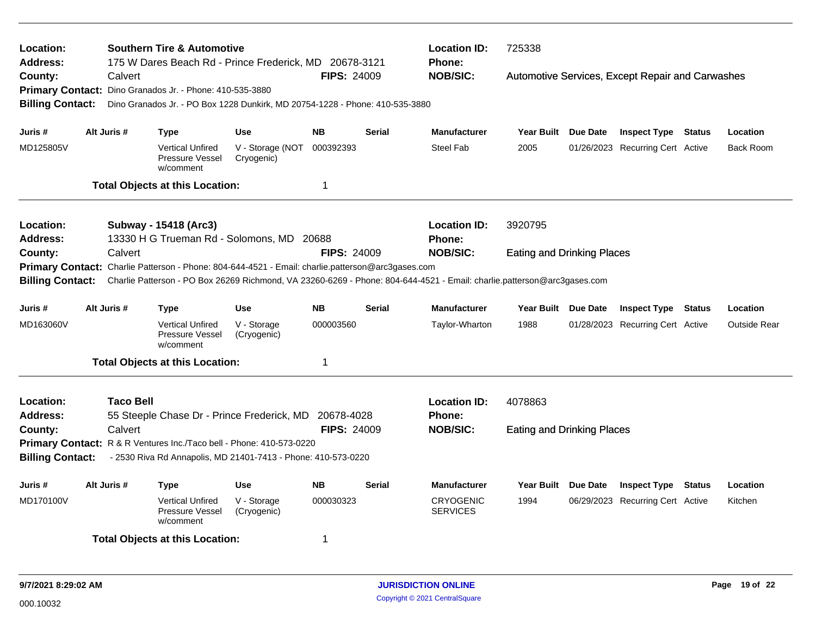| Location:<br><b>Address:</b>                |             | <b>Southern Tire &amp; Automotive</b><br>175 W Dares Beach Rd - Prince Frederick, MD 20678-3121                         |                                |                    |               | <b>Location ID:</b><br>725338<br>Phone: |                                   |          |                                                  |  |                     |
|---------------------------------------------|-------------|-------------------------------------------------------------------------------------------------------------------------|--------------------------------|--------------------|---------------|-----------------------------------------|-----------------------------------|----------|--------------------------------------------------|--|---------------------|
| County:                                     | Calvert     |                                                                                                                         |                                | <b>FIPS: 24009</b> |               | <b>NOB/SIC:</b>                         |                                   |          | Automotive Services, Except Repair and Carwashes |  |                     |
|                                             |             | Primary Contact: Dino Granados Jr. - Phone: 410-535-3880                                                                |                                |                    |               |                                         |                                   |          |                                                  |  |                     |
| <b>Billing Contact:</b>                     |             | Dino Granados Jr. - PO Box 1228 Dunkirk, MD 20754-1228 - Phone: 410-535-3880                                            |                                |                    |               |                                         |                                   |          |                                                  |  |                     |
|                                             |             |                                                                                                                         |                                |                    |               |                                         |                                   |          |                                                  |  |                     |
| Juris #                                     | Alt Juris # | <b>Type</b>                                                                                                             | <b>Use</b>                     | <b>NB</b>          | <b>Serial</b> | <b>Manufacturer</b>                     | <b>Year Built</b>                 | Due Date | <b>Inspect Type Status</b>                       |  | Location            |
| MD125805V                                   |             | <b>Vertical Unfired</b><br>Pressure Vessel<br>w/comment                                                                 | V - Storage (NOT<br>Cryogenic) | 000392393          |               | <b>Steel Fab</b>                        | 2005                              |          | 01/26/2023 Recurring Cert Active                 |  | Back Room           |
|                                             |             | <b>Total Objects at this Location:</b>                                                                                  |                                | 1                  |               |                                         |                                   |          |                                                  |  |                     |
| Location:                                   |             | Subway - 15418 (Arc3)                                                                                                   |                                |                    |               | <b>Location ID:</b>                     | 3920795                           |          |                                                  |  |                     |
| <b>Address:</b>                             |             | 13330 H G Trueman Rd - Solomons, MD 20688                                                                               |                                |                    |               | Phone:                                  |                                   |          |                                                  |  |                     |
| County:                                     | Calvert     |                                                                                                                         |                                | <b>FIPS: 24009</b> |               | <b>NOB/SIC:</b>                         | <b>Eating and Drinking Places</b> |          |                                                  |  |                     |
|                                             |             | Primary Contact: Charlie Patterson - Phone: 804-644-4521 - Email: charlie.patterson@arc3gases.com                       |                                |                    |               |                                         |                                   |          |                                                  |  |                     |
| <b>Billing Contact:</b>                     |             | Charlie Patterson - PO Box 26269 Richmond, VA 23260-6269 - Phone: 804-644-4521 - Email: charlie.patterson@arc3gases.com |                                |                    |               |                                         |                                   |          |                                                  |  |                     |
| Juris #                                     | Alt Juris # | <b>Type</b>                                                                                                             | <b>Use</b>                     | <b>NB</b>          | <b>Serial</b> | <b>Manufacturer</b>                     | Year Built Due Date               |          | <b>Inspect Type Status</b>                       |  | Location            |
| MD163060V                                   |             | <b>Vertical Unfired</b><br>Pressure Vessel<br>w/comment                                                                 | V - Storage<br>(Cryogenic)     | 000003560          |               | Taylor-Wharton                          | 1988                              |          | 01/28/2023 Recurring Cert Active                 |  | <b>Outside Rear</b> |
|                                             |             | <b>Total Objects at this Location:</b>                                                                                  |                                | 1                  |               |                                         |                                   |          |                                                  |  |                     |
| Location:                                   | Taco Bell   |                                                                                                                         |                                |                    |               | <b>Location ID:</b>                     | 4078863                           |          |                                                  |  |                     |
| <b>Address:</b>                             |             | 55 Steeple Chase Dr - Prince Frederick, MD 20678-4028                                                                   |                                |                    |               | Phone:                                  |                                   |          |                                                  |  |                     |
| County:                                     | Calvert     |                                                                                                                         |                                | <b>FIPS: 24009</b> |               | <b>NOB/SIC:</b>                         | <b>Eating and Drinking Places</b> |          |                                                  |  |                     |
|                                             |             | Primary Contact: R & R Ventures Inc./Taco bell - Phone: 410-573-0220                                                    |                                |                    |               |                                         |                                   |          |                                                  |  |                     |
| <b>Billing Contact:</b>                     |             | - 2530 Riva Rd Annapolis, MD 21401-7413 - Phone: 410-573-0220                                                           |                                |                    |               |                                         |                                   |          |                                                  |  |                     |
| Juris #                                     | Alt Juris # | Type                                                                                                                    | <b>Use</b>                     | <b>NB</b>          | <b>Serial</b> | <b>Manufacturer</b>                     | <b>Year Built</b>                 | Due Date | <b>Inspect Type Status</b>                       |  | Location            |
| MD170100V                                   |             | <b>Vertical Unfired</b><br>Pressure Vessel<br>w/comment                                                                 | V - Storage<br>(Cryogenic)     | 000030323          |               | <b>CRYOGENIC</b><br><b>SERVICES</b>     | 1994                              |          | 06/29/2023 Recurring Cert Active                 |  | Kitchen             |
| <b>Total Objects at this Location:</b><br>1 |             |                                                                                                                         |                                |                    |               |                                         |                                   |          |                                                  |  |                     |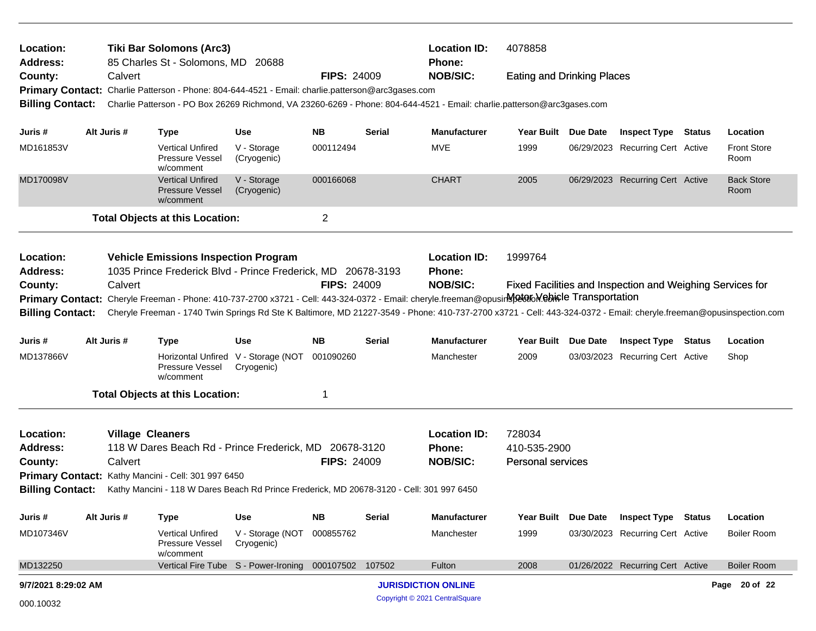| Location:<br><b>Address:</b> |                                                                                                             |                         | <b>Tiki Bar Solomons (Arc3)</b><br>85 Charles St - Solomons, MD 20688                             |                                                       |                    |               | <b>Location ID:</b><br>Phone:                                                                                                                                      | 4078858                           |                 |                                                           |                            |
|------------------------------|-------------------------------------------------------------------------------------------------------------|-------------------------|---------------------------------------------------------------------------------------------------|-------------------------------------------------------|--------------------|---------------|--------------------------------------------------------------------------------------------------------------------------------------------------------------------|-----------------------------------|-----------------|-----------------------------------------------------------|----------------------------|
| County:                      |                                                                                                             | Calvert                 |                                                                                                   |                                                       | <b>FIPS: 24009</b> |               | <b>NOB/SIC:</b>                                                                                                                                                    | <b>Eating and Drinking Places</b> |                 |                                                           |                            |
|                              |                                                                                                             |                         | Primary Contact: Charlie Patterson - Phone: 804-644-4521 - Email: charlie.patterson@arc3gases.com |                                                       |                    |               |                                                                                                                                                                    |                                   |                 |                                                           |                            |
| <b>Billing Contact:</b>      |                                                                                                             |                         |                                                                                                   |                                                       |                    |               | Charlie Patterson - PO Box 26269 Richmond, VA 23260-6269 - Phone: 804-644-4521 - Email: charlie.patterson@arc3gases.com                                            |                                   |                 |                                                           |                            |
| Juris #                      |                                                                                                             | Alt Juris #             | <b>Type</b>                                                                                       | <b>Use</b>                                            | <b>NB</b>          | <b>Serial</b> | <b>Manufacturer</b>                                                                                                                                                | <b>Year Built</b>                 | Due Date        | <b>Inspect Type Status</b>                                | Location                   |
| MD161853V                    |                                                                                                             |                         | <b>Vertical Unfired</b><br>Pressure Vessel<br>w/comment                                           | V - Storage<br>(Cryogenic)                            | 000112494          |               | <b>MVE</b>                                                                                                                                                         | 1999                              |                 | 06/29/2023 Recurring Cert Active                          | <b>Front Store</b><br>Room |
| MD170098V                    |                                                                                                             |                         | <b>Vertical Unfired</b><br><b>Pressure Vessel</b><br>w/comment                                    | V - Storage<br>(Cryogenic)                            | 000166068          |               | <b>CHART</b>                                                                                                                                                       | 2005                              |                 | 06/29/2023 Recurring Cert Active                          | <b>Back Store</b><br>Room  |
|                              |                                                                                                             |                         | <b>Total Objects at this Location:</b>                                                            |                                                       | $\overline{c}$     |               |                                                                                                                                                                    |                                   |                 |                                                           |                            |
| Location:<br><b>Address:</b> | <b>Vehicle Emissions Inspection Program</b><br>1035 Prince Frederick Blvd - Prince Frederick, MD 20678-3193 |                         |                                                                                                   |                                                       |                    |               | <b>Location ID:</b><br>Phone:                                                                                                                                      | 1999764                           |                 |                                                           |                            |
| County:                      |                                                                                                             | Calvert                 |                                                                                                   |                                                       | <b>FIPS: 24009</b> |               | <b>NOB/SIC:</b>                                                                                                                                                    |                                   |                 | Fixed Facilities and Inspection and Weighing Services for |                            |
|                              |                                                                                                             |                         |                                                                                                   |                                                       |                    |               | Primary Contact: Cheryle Freeman - Phone: 410-737-2700 x3721 - Cell: 443-324-0372 - Email: cheryle.freeman@opusirNetaRoMebicle Transportation                      |                                   |                 |                                                           |                            |
| <b>Billing Contact:</b>      |                                                                                                             |                         |                                                                                                   |                                                       |                    |               | Cheryle Freeman - 1740 Twin Springs Rd Ste K Baltimore, MD 21227-3549 - Phone: 410-737-2700 x3721 - Cell: 443-324-0372 - Email: cheryle.freeman@opusinspection.com |                                   |                 |                                                           |                            |
|                              |                                                                                                             |                         |                                                                                                   |                                                       |                    |               |                                                                                                                                                                    |                                   |                 |                                                           |                            |
| Juris #                      |                                                                                                             | Alt Juris #             | <b>Type</b>                                                                                       | <b>Use</b>                                            | <b>NB</b>          | <b>Serial</b> | <b>Manufacturer</b>                                                                                                                                                | Year Built                        | <b>Due Date</b> | <b>Inspect Type Status</b>                                | Location                   |
| MD137866V                    |                                                                                                             |                         | Pressure Vessel<br>w/comment                                                                      | Horizontal Unfired V - Storage (NOT<br>Cryogenic)     | 001090260          |               | Manchester                                                                                                                                                         | 2009                              |                 | 03/03/2023 Recurring Cert Active                          | Shop                       |
|                              |                                                                                                             |                         | <b>Total Objects at this Location:</b>                                                            |                                                       | 1                  |               |                                                                                                                                                                    |                                   |                 |                                                           |                            |
| Location:                    |                                                                                                             | <b>Village Cleaners</b> |                                                                                                   |                                                       |                    |               | <b>Location ID:</b>                                                                                                                                                | 728034                            |                 |                                                           |                            |
| <b>Address:</b>              |                                                                                                             |                         | 118 W Dares Beach Rd - Prince Frederick, MD 20678-3120                                            |                                                       |                    |               | <b>Phone:</b>                                                                                                                                                      | 410-535-2900                      |                 |                                                           |                            |
| County:                      |                                                                                                             | Calvert                 |                                                                                                   |                                                       | <b>FIPS: 24009</b> |               | <b>NOB/SIC:</b>                                                                                                                                                    | <b>Personal services</b>          |                 |                                                           |                            |
|                              |                                                                                                             |                         | Primary Contact: Kathy Mancini - Cell: 301 997 6450                                               |                                                       |                    |               |                                                                                                                                                                    |                                   |                 |                                                           |                            |
| <b>Billing Contact:</b>      |                                                                                                             |                         | Kathy Mancini - 118 W Dares Beach Rd Prince Frederick, MD 20678-3120 - Cell: 301 997 6450         |                                                       |                    |               |                                                                                                                                                                    |                                   |                 |                                                           |                            |
| Juris #                      |                                                                                                             | Alt Juris #             | <b>Type</b>                                                                                       | Use                                                   | <b>NB</b>          | <b>Serial</b> | <b>Manufacturer</b>                                                                                                                                                | <b>Year Built</b>                 | <b>Due Date</b> | <b>Inspect Type Status</b>                                | Location                   |
| MD107346V                    |                                                                                                             |                         | <b>Vertical Unfired</b><br>Pressure Vessel<br>w/comment                                           | V - Storage (NOT<br>Cryogenic)                        | 000855762          |               | Manchester                                                                                                                                                         | 1999                              |                 | 03/30/2023 Recurring Cert Active                          | <b>Boiler Room</b>         |
| MD132250                     |                                                                                                             |                         |                                                                                                   | Vertical Fire Tube S - Power-Ironing 000107502 107502 |                    |               | Fulton                                                                                                                                                             | 2008                              |                 | 01/26/2022 Recurring Cert Active                          | <b>Boiler Room</b>         |
| 9/7/2021 8:29:02 AM          |                                                                                                             |                         |                                                                                                   |                                                       |                    |               | <b>JURISDICTION ONLINE</b>                                                                                                                                         |                                   |                 |                                                           | Page 20 of 22              |
| 000.10032                    |                                                                                                             |                         |                                                                                                   |                                                       |                    |               | Copyright © 2021 CentralSquare                                                                                                                                     |                                   |                 |                                                           |                            |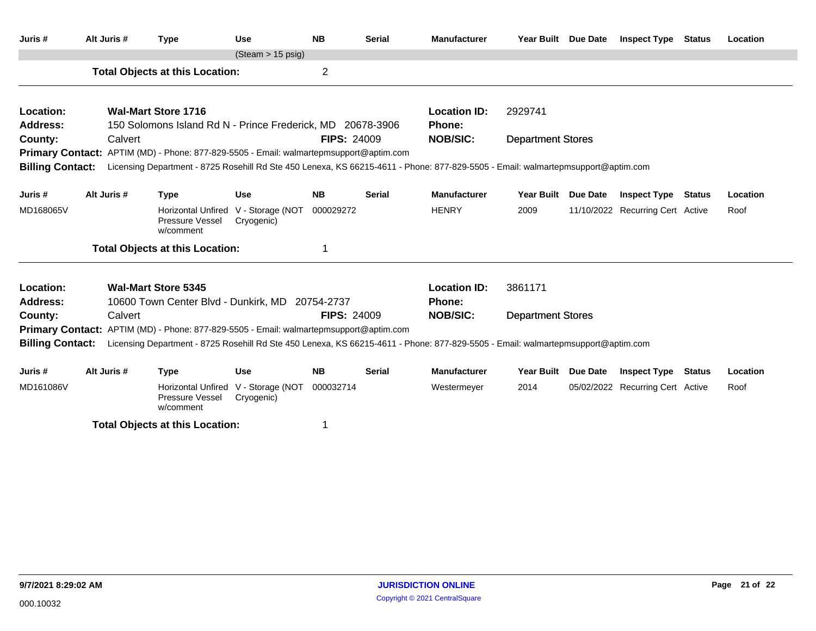| Juris #                 | Alt Juris # | <b>Type</b>                                                                                                                      | <b>Use</b>                                        | <b>NB</b>          | <b>Serial</b> | <b>Manufacturer</b> | Year Built Due Date      |          | <b>Inspect Type Status</b>       |        | Location |
|-------------------------|-------------|----------------------------------------------------------------------------------------------------------------------------------|---------------------------------------------------|--------------------|---------------|---------------------|--------------------------|----------|----------------------------------|--------|----------|
|                         |             |                                                                                                                                  | $(Steam > 15 \text{ psig})$                       |                    |               |                     |                          |          |                                  |        |          |
|                         |             | <b>Total Objects at this Location:</b>                                                                                           |                                                   | 2                  |               |                     |                          |          |                                  |        |          |
| Location:               |             | <b>Wal-Mart Store 1716</b>                                                                                                       |                                                   |                    |               | <b>Location ID:</b> | 2929741                  |          |                                  |        |          |
| <b>Address:</b>         |             | 150 Solomons Island Rd N - Prince Frederick, MD 20678-3906                                                                       |                                                   |                    |               | <b>Phone:</b>       |                          |          |                                  |        |          |
| County:                 | Calvert     |                                                                                                                                  |                                                   | <b>FIPS: 24009</b> |               | <b>NOB/SIC:</b>     | <b>Department Stores</b> |          |                                  |        |          |
|                         |             | <b>Primary Contact:</b> APTIM (MD) - Phone: 877-829-5505 - Email: walmartepmsupport@aptim.com                                    |                                                   |                    |               |                     |                          |          |                                  |        |          |
| <b>Billing Contact:</b> |             | Licensing Department - 8725 Rosehill Rd Ste 450 Lenexa, KS 66215-4611 - Phone: 877-829-5505 - Email: walmartepmsupport@aptim.com |                                                   |                    |               |                     |                          |          |                                  |        |          |
| Juris #                 | Alt Juris # | <b>Type</b>                                                                                                                      | <b>Use</b>                                        | <b>NB</b>          | <b>Serial</b> | <b>Manufacturer</b> | <b>Year Built</b>        | Due Date | <b>Inspect Type</b>              | Status | Location |
| MD168065V               |             | Pressure Vessel<br>w/comment                                                                                                     | Horizontal Unfired V - Storage (NOT<br>Cryogenic) | 000029272          |               | <b>HENRY</b>        | 2009                     |          | 11/10/2022 Recurring Cert Active |        | Roof     |
|                         |             | <b>Total Objects at this Location:</b>                                                                                           |                                                   | 1                  |               |                     |                          |          |                                  |        |          |
| Location:               |             | <b>Wal-Mart Store 5345</b>                                                                                                       |                                                   |                    |               | <b>Location ID:</b> | 3861171                  |          |                                  |        |          |
| <b>Address:</b>         |             | 10600 Town Center Blvd - Dunkirk, MD 20754-2737                                                                                  |                                                   |                    |               | <b>Phone:</b>       |                          |          |                                  |        |          |
| County:                 | Calvert     |                                                                                                                                  |                                                   | <b>FIPS: 24009</b> |               | <b>NOB/SIC:</b>     | <b>Department Stores</b> |          |                                  |        |          |
|                         |             | <b>Primary Contact:</b> APTIM (MD) - Phone: 877-829-5505 - Email: walmartepmsupport@aptim.com                                    |                                                   |                    |               |                     |                          |          |                                  |        |          |
| <b>Billing Contact:</b> |             | Licensing Department - 8725 Rosehill Rd Ste 450 Lenexa, KS 66215-4611 - Phone: 877-829-5505 - Email: walmartepmsupport@aptim.com |                                                   |                    |               |                     |                          |          |                                  |        |          |
| Juris #                 | Alt Juris # | <b>Type</b>                                                                                                                      | <b>Use</b>                                        | <b>NB</b>          | Serial        | <b>Manufacturer</b> | Year Built Due Date      |          | <b>Inspect Type Status</b>       |        | Location |
| MD161086V               |             | Pressure Vessel<br>w/comment                                                                                                     | Horizontal Unfired V - Storage (NOT<br>Cryogenic) | 000032714          |               | Westermeyer         | 2014                     |          | 05/02/2022 Recurring Cert Active |        | Roof     |
|                         |             |                                                                                                                                  |                                                   |                    |               |                     |                          |          |                                  |        |          |